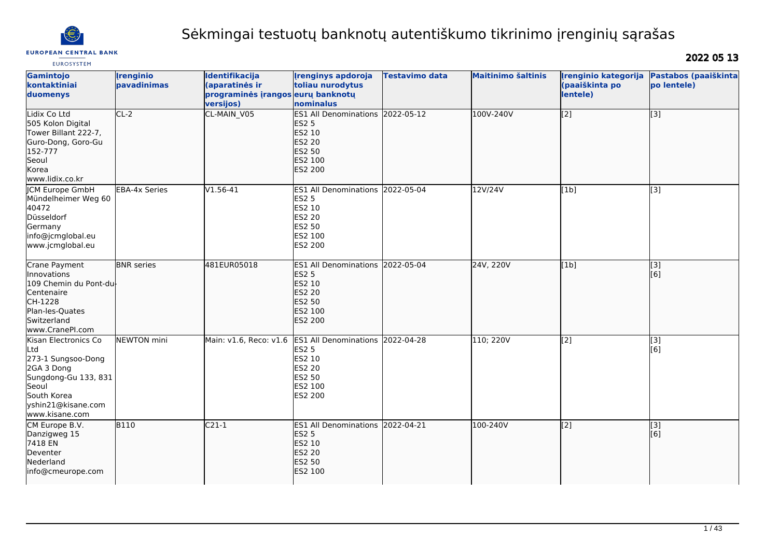

# Sėkmingai testuotų banknotų autentiškumo tikrinimo įrenginių sąrašas

EUROSYSTEM

2022 05 13

| Gamintojo<br>kontaktiniai<br>duomenys                                                                                                                   | <b>Irenginio</b><br>pavadinimas | Identifikacija<br>(aparatinės ir<br>programinės įrangos eurų banknotų<br>versijos) | <b>Irenginys apdoroja</b><br>toliau nurodytus<br>nominalus                                                         | Testavimo data          | <b>Maitinimo šaltinis</b> | Irenginio kategorija<br>(paaiškinta po<br>lentele) | Pastabos (paaiškinta<br>po lentele) |
|---------------------------------------------------------------------------------------------------------------------------------------------------------|---------------------------------|------------------------------------------------------------------------------------|--------------------------------------------------------------------------------------------------------------------|-------------------------|---------------------------|----------------------------------------------------|-------------------------------------|
| Lidix Co Ltd<br>505 Kolon Digital<br>Tower Billant 222-7,<br>Guro-Dong, Goro-Gu<br>152-777<br>Seoul<br><b>Korea</b><br>www.lidix.co.kr                  | $CL-2$                          | CL-MAIN V05                                                                        | <b>ES1 All Denominations</b><br><b>ES2 5</b><br><b>ES2 10</b><br>ES2 20<br>ES2 50<br>ES2 100<br><b>ES2 200</b>     | 2022-05-12              | 100V-240V                 | $\overline{[2]}$                                   | $\overline{[}3]$                    |
| <b>JCM Europe GmbH</b><br>Mündelheimer Weg 60<br>40472<br>Düsseldorf<br>Germany<br>info@jcmglobal.eu<br>www.jcmglobal.eu                                | <b>EBA-4x Series</b>            | V1.56-41                                                                           | <b>ES1 All Denominations</b><br><b>ES2 5</b><br>ES2 10<br>ES2 20<br><b>ES2 50</b><br>ES2 100<br><b>ES2 200</b>     | 2022-05-04              | 12V/24V                   | [1b]                                               | [3]                                 |
| Crane Payment<br>Innovations<br>109 Chemin du Pont-du<br>Centenaire<br>CH-1228<br>Plan-les-Quates<br>Switzerland<br>www.CranePI.com                     | <b>BNR</b> series               | 481EUR05018                                                                        | ES1 All Denominations 2022-05-04<br><b>ES2 5</b><br>ES2 10<br><b>ES2 20</b><br><b>ES2 50</b><br>ES2 100<br>ES2 200 |                         | 24V, 220V                 | [1b]                                               | $\overline{[3]}$<br>[6]             |
| Kisan Electronics Co<br>Ltd<br>273-1 Sungsoo-Dong<br>2GA 3 Dong<br>Sungdong-Gu 133, 831<br>Seoul<br>South Korea<br>yshin21@kisane.com<br>www.kisane.com | NEWTON mini                     | Main: v1.6, Reco: v1.6                                                             | ES1 All Denominations 2022-04-28<br><b>ES2 5</b><br>ES2 10<br>ES2 20<br>ES2 50<br>ES2 100<br>ES2 200               |                         | 110; 220V                 | [2]                                                | $\overline{[3]}$<br>[6]             |
| CM Europe B.V.<br>Danzigweg 15<br>7418 EN<br>Deventer<br>Nederland<br>info@cmeurope.com                                                                 | <b>B110</b>                     | $C21-1$                                                                            | <b>ES1 All Denominations</b><br><b>ES2 5</b><br><b>ES2 10</b><br><b>ES2 20</b><br>ES2 50<br><b>ES2 100</b>         | $\overline{2022-04-21}$ | 100-240V                  | $\overline{[2]}$                                   | $\overline{[}3]$<br>[6]             |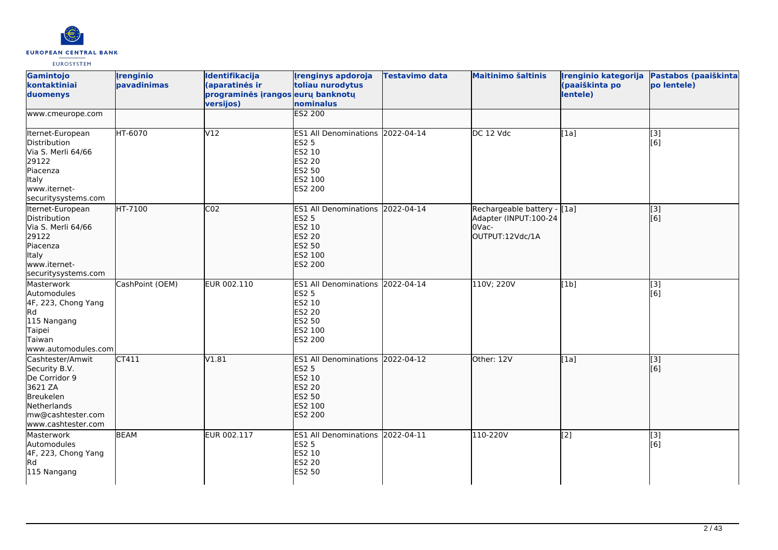

| Gamintojo<br>kontaktiniai<br>duomenys                                                                                                | <b>Irenginio</b><br>pavadinimas | Identifikacija<br>(aparatinės ir<br>programinės įrangos eurų banknotų<br>versijos) | <b>Irenginys apdoroja</b><br>toliau nurodytus<br>nominalus                                                                   | <b>Testavimo data</b> | <b>Maitinimo šaltinis</b>                                                        | Irenginio kategorija<br>(paaiškinta po<br>lentele) | Pastabos (paaiškinta<br>po lentele) |
|--------------------------------------------------------------------------------------------------------------------------------------|---------------------------------|------------------------------------------------------------------------------------|------------------------------------------------------------------------------------------------------------------------------|-----------------------|----------------------------------------------------------------------------------|----------------------------------------------------|-------------------------------------|
| www.cmeurope.com                                                                                                                     |                                 |                                                                                    | <b>ES2 200</b>                                                                                                               |                       |                                                                                  |                                                    |                                     |
| Iternet-European<br>Distribution<br>Via S. Merli 64/66<br>29122<br>Piacenza<br>Italy<br>www.iternet-<br>securitysystems.com          | HT-6070                         | V12                                                                                | ES1 All Denominations 2022-04-14<br><b>ES2 5</b><br>ES2 10<br><b>ES2 20</b><br><b>ES2 50</b><br>ES2 100<br><b>ES2 200</b>    |                       | DC 12 Vdc                                                                        | [1a]                                               | $\overline{[}$ [3]<br>[6]           |
| Iternet-European<br>Distribution<br>Via S. Merli 64/66<br>29122<br>Piacenza<br>Italy<br>www.iternet-<br>securitysystems.com          | HT-7100                         | CO <sub>2</sub>                                                                    | ES1 All Denominations 2022-04-14<br><b>ES2 5</b><br>ES2 10<br><b>ES2 20</b><br><b>ES2 50</b><br>ES2 100<br><b>ES2 200</b>    |                       | Rechargeable battery - [1a]<br>Adapter (INPUT:100-24<br>OVac-<br>OUTPUT:12Vdc/1A |                                                    | $\overline{[}3]$<br>[[6]            |
| Masterwork<br>Automodules<br>4F, 223, Chong Yang<br>Rd<br>115 Nangang<br>Taipei<br>Taiwan<br>www.automodules.com                     | CashPoint (OEM)                 | EUR 002.110                                                                        | ES1 All Denominations 2022-04-14<br><b>ES2 5</b><br>ES2 10<br><b>ES2 20</b><br><b>ES2 50</b><br>ES2 100<br>ES2 200           |                       | 110V; 220V                                                                       | [1b]                                               | $\overline{[3]}$<br>[6]             |
| Cashtester/Amwit<br>Security B.V.<br>De Corridor 9<br>3621 ZA<br>Breukelen<br>Netherlands<br>mw@cashtester.com<br>www.cashtester.com | CT411                           | V1.81                                                                              | <b>ES1 All Denominations</b><br><b>ES2 5</b><br><b>ES2 10</b><br><b>ES2 20</b><br><b>ES2 50</b><br>ES2 100<br><b>ES2 200</b> | 2022-04-12            | Other: 12V                                                                       | [1a]                                               | [3]<br>[[6]                         |
| Masterwork<br>Automodules<br>4F, 223, Chong Yang<br>Rd<br>115 Nangang                                                                | <b>BEAM</b>                     | EUR 002.117                                                                        | ES1 All Denominations 2022-04-11<br><b>ES2 5</b><br><b>ES2 10</b><br><b>ES2 20</b><br><b>ES2 50</b>                          |                       | 110-220V                                                                         | [2]                                                | $\overline{[3]}$<br>[6]             |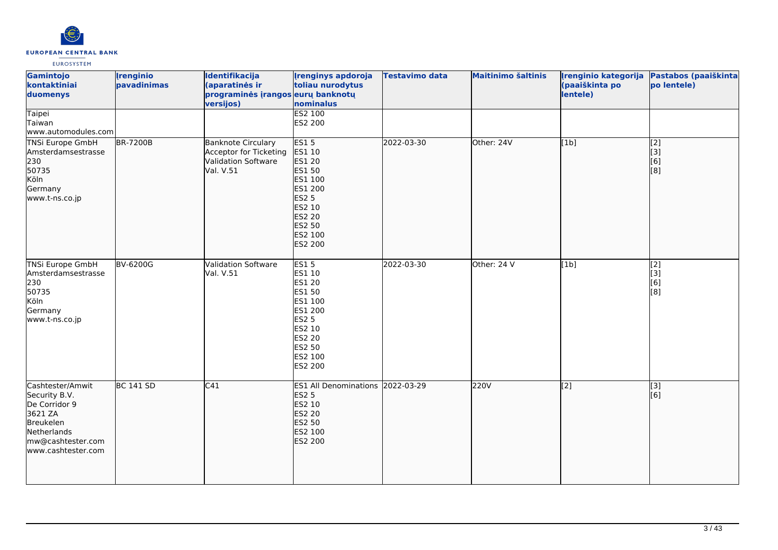

| Gamintojo<br>kontaktiniai<br>duomenys<br><b>Taipei</b>                                                                               | <b>Irenginio</b><br>pavadinimas | Identifikacija<br>(aparatinės ir<br>programinės įrangos eurų banknotų<br>versijos)      | <b>Irenginys apdoroja</b><br>toliau nurodytus<br>nominalus<br>ES2 100                                                                                                  | <b>Testavimo data</b> | <b>Maitinimo šaltinis</b> | Irenginio kategorija<br>(paaiškinta po<br>lentele) | Pastabos (paaiškinta<br>po lentele)   |
|--------------------------------------------------------------------------------------------------------------------------------------|---------------------------------|-----------------------------------------------------------------------------------------|------------------------------------------------------------------------------------------------------------------------------------------------------------------------|-----------------------|---------------------------|----------------------------------------------------|---------------------------------------|
| Taiwan<br>www.automodules.com                                                                                                        |                                 |                                                                                         | ES2 200                                                                                                                                                                |                       |                           |                                                    |                                       |
| <b>TNSi Europe GmbH</b><br>Amsterdamsestrasse<br>230<br>50735<br>Köln<br>Germany<br>www.t-ns.co.jp                                   | <b>BR-7200B</b>                 | <b>Banknote Circulary</b><br>Acceptor for Ticketing<br>Validation Software<br>Val. V.51 | <b>ES15</b><br>ES1 10<br><b>ES1 20</b><br><b>ES1 50</b><br>ES1 100<br>ES1 200<br><b>ES2 5</b><br>ES2 10<br><b>ES2 20</b><br><b>ES2 50</b><br>ES2 100<br><b>ES2 200</b> | 2022-03-30            | Other: 24V                | [1b]                                               | $\overline{[2]}$<br>[3]<br>[6]<br>[8] |
| <b>TNSi Europe GmbH</b><br>Amsterdamsestrasse<br>230<br>50735<br>Köln<br>Germany<br>www.t-ns.co.jp                                   | <b>BV-6200G</b>                 | Validation Software<br>Val. V.51                                                        | <b>ES15</b><br>ES1 10<br>ES1 20<br>ES1 50<br>ES1 100<br>ES1 200<br><b>ES2 5</b><br>ES2 10<br>ES2 20<br><b>ES2 50</b><br>ES2 100<br><b>ES2 200</b>                      | 2022-03-30            | Other: 24 V               | [1b]                                               | $\overline{[2]}$<br>[3]<br>[6]<br>[8] |
| Cashtester/Amwit<br>Security B.V.<br>De Corridor 9<br>3621 ZA<br>Breukelen<br>Netherlands<br>mw@cashtester.com<br>www.cashtester.com | <b>BC 141 SD</b>                | $\overline{C41}$                                                                        | ES1 All Denominations 2022-03-29<br><b>ES2 5</b><br>ES2 10<br><b>ES2 20</b><br><b>ES2 50</b><br>ES2 100<br>ES2 200                                                     |                       | <b>220V</b>               | $\overline{[2]}$                                   | $\overline{[}$ [3]<br>[6]             |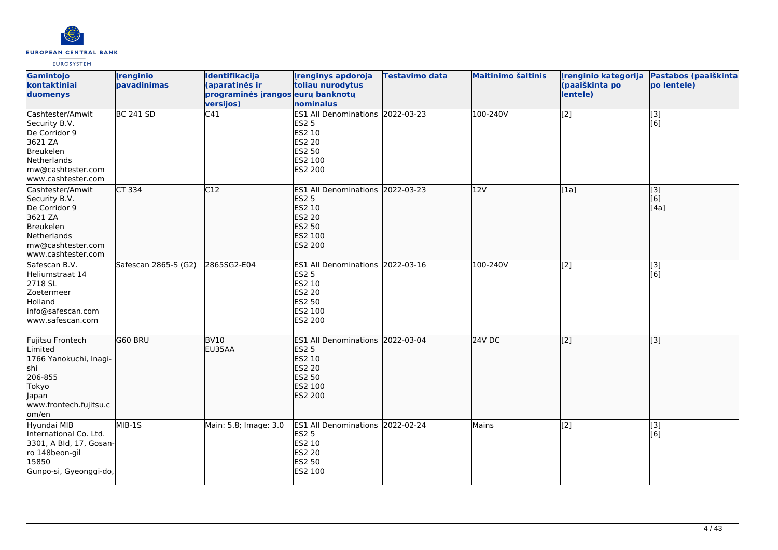

| Gamintojo<br>kontaktiniai<br>duomenys                                                                                                | <b>Irenginio</b><br>pavadinimas | Identifikacija<br>(aparatinės ir<br>programinės įrangos eurų banknotų<br>versijos) | <b>Irenginys apdoroja</b><br>toliau nurodytus<br>nominalus                                                                       | <b>Testavimo data</b> | <b>Maitinimo šaltinis</b> | Irenginio kategorija<br>(paaiškinta po<br>lentele) | Pastabos (paaiškinta<br>po lentele) |
|--------------------------------------------------------------------------------------------------------------------------------------|---------------------------------|------------------------------------------------------------------------------------|----------------------------------------------------------------------------------------------------------------------------------|-----------------------|---------------------------|----------------------------------------------------|-------------------------------------|
| Cashtester/Amwit<br>Security B.V.<br>De Corridor 9<br>3621 ZA<br>Breukelen<br>Netherlands<br>mw@cashtester.com<br>www.cashtester.com | <b>BC 241 SD</b>                | C41                                                                                | ES1 All Denominations 2022-03-23<br><b>ES2 5</b><br><b>ES2 10</b><br><b>ES2 20</b><br><b>ES2 50</b><br>ES2 100<br>ES2 200        |                       | 100-240V                  | $\overline{[2]}$                                   | $\overline{[}3]$<br>[6]             |
| Cashtester/Amwit<br>Security B.V.<br>De Corridor 9<br>3621 ZA<br>Breukelen<br>Netherlands<br>mw@cashtester.com<br>www.cashtester.com | $CT$ 334                        | C12                                                                                | ES1 All Denominations 2022-03-23<br><b>ES2 5</b><br><b>ES2 10</b><br><b>ES2 20</b><br><b>ES2 50</b><br>ES2 100<br><b>ES2 200</b> |                       | 12V                       | [1a]                                               | [[3]<br>[6]<br>[4a]                 |
| Safescan B.V.<br>Heliumstraat 14<br>2718 SL<br>Zoetermeer<br>Holland<br>info@safescan.com<br>www.safescan.com                        | Safescan 2865-S (G2)            | 2865SG2-E04                                                                        | ES1 All Denominations 2022-03-16<br><b>ES2 5</b><br>ES2 10<br><b>ES2 20</b><br><b>ES2 50</b><br>ES2 100<br><b>ES2 200</b>        |                       | 100-240V                  | [2]                                                | $\overline{[3]}$<br>[6]             |
| Fujitsu Frontech<br>Limited<br>1766 Yanokuchi, Inagi-<br>shi<br>206-855<br>Tokyo<br>Japan<br>www.frontech.fujitsu.c<br>lom/en        | G60 BRU                         | BVI0<br>EU35AA                                                                     | ES1 All Denominations 2022-03-04<br><b>ES2 5</b><br><b>ES2 10</b><br><b>ES2 20</b><br><b>ES2 50</b><br>ES2 100<br><b>ES2 200</b> |                       | $24V$ DC                  | $\overline{[2]}$                                   | $\overline{[}3]$                    |
| Hyundai MIB<br>International Co. Ltd.<br>3301, A Bld, 17, Gosan-<br>ro 148beon-gil<br>15850<br>Gunpo-si, Gyeonggi-do,                | MIB-1S                          | Main: 5.8; Image: 3.0                                                              | ES1 All Denominations 2022-02-24<br><b>ES2 5</b><br>ES2 10<br><b>ES2 20</b><br><b>ES2 50</b><br>ES2 100                          |                       | Mains                     | [2]                                                | [3]<br>[6]                          |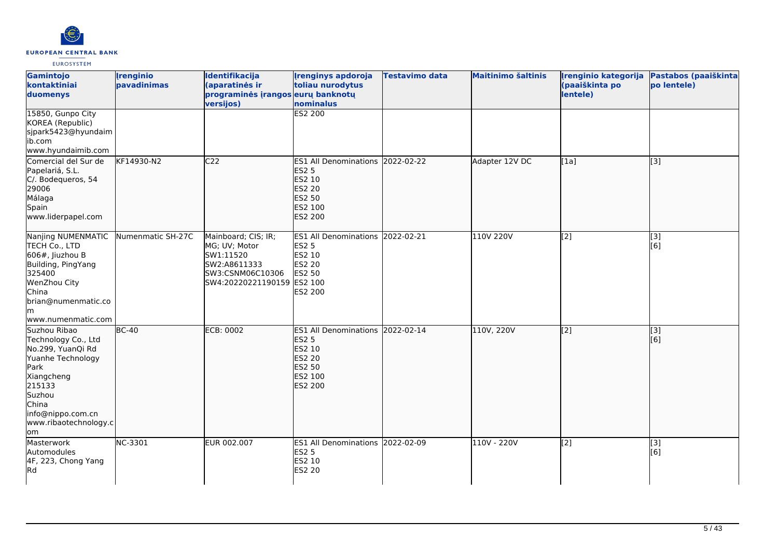

| Gamintojo<br>kontaktiniai<br>duomenys                                                                                                                                                 | <b>Irenginio</b><br>pavadinimas | Identifikacija<br>(aparatinės ir<br>programinės įrangos eurų banknotų<br>versijos)                                  | <b>Irenginys apdoroja</b><br>toliau nurodytus<br>nominalus                                                         | Testavimo data | <b>Maitinimo šaltinis</b> | Irenginio kategorija<br>(paaiškinta po<br>lentele) | Pastabos (paaiškinta<br>po lentele) |
|---------------------------------------------------------------------------------------------------------------------------------------------------------------------------------------|---------------------------------|---------------------------------------------------------------------------------------------------------------------|--------------------------------------------------------------------------------------------------------------------|----------------|---------------------------|----------------------------------------------------|-------------------------------------|
| 15850, Gunpo City<br>KOREA (Republic)<br>sjpark5423@hyundaim<br>ib.com<br>www.hyundaimib.com                                                                                          |                                 |                                                                                                                     | <b>ES2 200</b>                                                                                                     |                |                           |                                                    |                                     |
| Comercial del Sur de<br>Papelariá, S.L.<br>C/. Bodequeros, 54<br>29006<br>Málaga<br>Spain<br>www.liderpapel.com                                                                       | KF14930-N2                      | C <sub>22</sub>                                                                                                     | ES1 All Denominations 2022-02-22<br><b>ES2 5</b><br>ES2 10<br><b>ES2 20</b><br><b>ES2 50</b><br>ES2 100<br>ES2 200 |                | Adapter 12V DC            | [1a]                                               | [[3]                                |
| Nanjing NUMENMATIC<br>TECH Co., LTD<br>$606#$ , Jiuzhou B<br>Building, PingYang<br>325400<br>WenZhou City<br>China<br>brian@numenmatic.co<br>lm<br>www.numenmatic.com                 | Numenmatic SH-27C               | Mainboard; CIS; IR;<br>MG; UV; Motor<br>SW1:11520<br>SW2:A8611333<br>SW3:CSNM06C10306<br>SW4:20220221190159 ES2 100 | ES1 All Denominations 2022-02-21<br><b>ES2 5</b><br>ES2 10<br>ES2 20<br>ES2 50<br>ES2 200                          |                | 110V 220V                 | $\sqrt{2}$                                         | $\overline{[3]}$<br>[6]             |
| Suzhou Ribao<br>Technology Co., Ltd<br>No.299, YuanQi Rd<br>Yuanhe Technology<br>Park<br>Xiangcheng<br>215133<br>Suzhou<br>China<br>info@nippo.com.cn<br>www.ribaotechnology.c<br>om/ | $\overline{BC-40}$              | ECB: 0002                                                                                                           | ES1 All Denominations 2022-02-14<br><b>ES2 5</b><br>ES2 10<br><b>ES2 20</b><br>ES2 50<br>ES2 100<br>ES2 200        |                | 110V, 220V                | $\overline{[2]}$                                   | $\overline{[}3]$<br>[6]             |
| Masterwork<br>Automodules<br>4F, 223, Chong Yang<br>Rd                                                                                                                                | NC-3301                         | EUR 002.007                                                                                                         | ES1 All Denominations 2022-02-09<br>ES2 5<br>ES2 10<br>ES2 20                                                      |                | 110V - 220V               | [2]                                                | [3]<br>[6]                          |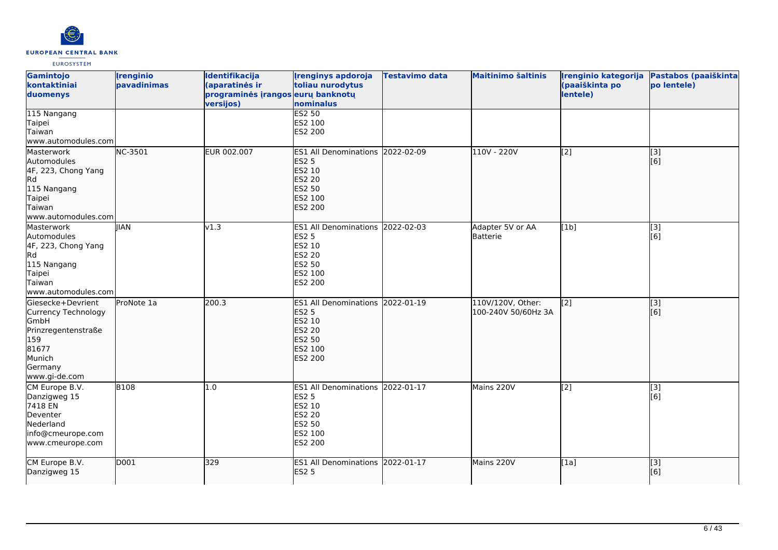

| Gamintojo<br>kontaktiniai<br>duomenys                                                                                                | <b>Irenginio</b><br>pavadinimas | Identifikacija<br>(aparatinės ir<br>programinės įrangos eurų banknotų<br>versijos) | <b>Irenginys apdoroja</b><br>toliau nurodytus<br>nominalus                                                         | <b>Testavimo data</b> | <b>Maitinimo šaltinis</b>                | Irenginio kategorija<br>(paaiškinta po<br>lentele) | Pastabos (paaiškinta<br>po lentele)                   |
|--------------------------------------------------------------------------------------------------------------------------------------|---------------------------------|------------------------------------------------------------------------------------|--------------------------------------------------------------------------------------------------------------------|-----------------------|------------------------------------------|----------------------------------------------------|-------------------------------------------------------|
| 115 Nangang<br>Taipei<br>Taiwan<br>www.automodules.com                                                                               |                                 |                                                                                    | <b>ES2 50</b><br>ES2 100<br>ES2 200                                                                                |                       |                                          |                                                    |                                                       |
| Masterwork<br>Automodules<br>4F, 223, Chong Yang<br>Rd <br>115 Nangang<br>Taipei<br>Taiwan<br>www.automodules.com                    | NC-3501                         | EUR 002.007                                                                        | ES1 All Denominations 2022-02-09<br><b>ES2 5</b><br>ES2 10<br><b>ES2 20</b><br><b>ES2 50</b><br>ES2 100<br>ES2 200 |                       | 110V - 220V                              | $\left[$ [2]                                       | $\left[ \begin{matrix} 3 \end{matrix} \right]$<br>[6] |
| Masterwork<br>Automodules<br>4F, 223, Chong Yang<br>Rd.<br>115 Nangang<br>Taipei<br>Taiwan<br>www.automodules.com                    | <b>IIAN</b>                     | v1.3                                                                               | ES1 All Denominations 2022-02-03<br><b>ES2 5</b><br>ES2 10<br><b>ES2 20</b><br><b>ES2 50</b><br>ES2 100<br>ES2 200 |                       | Adapter 5V or AA<br>Batterie             | [1b]                                               | [3]<br>[6]                                            |
| Giesecke+Devrient<br>Currency Technology<br><b>GmbH</b><br>Prinzregentenstraße<br>159<br>81677<br>Munich<br>Germany<br>www.gi-de.com | ProNote 1a                      | 200.3                                                                              | ES1 All Denominations 2022-01-19<br><b>ES2 5</b><br>ES2 10<br><b>ES2 20</b><br><b>ES2 50</b><br>ES2 100<br>ES2 200 |                       | 110V/120V, Other:<br>100-240V 50/60Hz 3A | $\left[$ [2]                                       | [[3]<br>[6]                                           |
| CM Europe B.V.<br>Danzigweg 15<br>7418 EN<br>Deventer<br>Nederland<br>info@cmeurope.com<br>www.cmeurope.com                          | <b>B108</b>                     | 1.0                                                                                | ES1 All Denominations 2022-01-17<br><b>ES2 5</b><br>ES2 10<br><b>ES2 20</b><br><b>ES2 50</b><br>ES2 100<br>ES2 200 |                       | Mains 220V                               | $\left[$ [2]                                       | [3]<br>[6]                                            |
| CM Europe B.V.<br>Danzigweg 15                                                                                                       | D001                            | 329                                                                                | ES1 All Denominations 2022-01-17<br><b>ES2 5</b>                                                                   |                       | Mains 220V                               | [1a]                                               | [[3]<br>[6]                                           |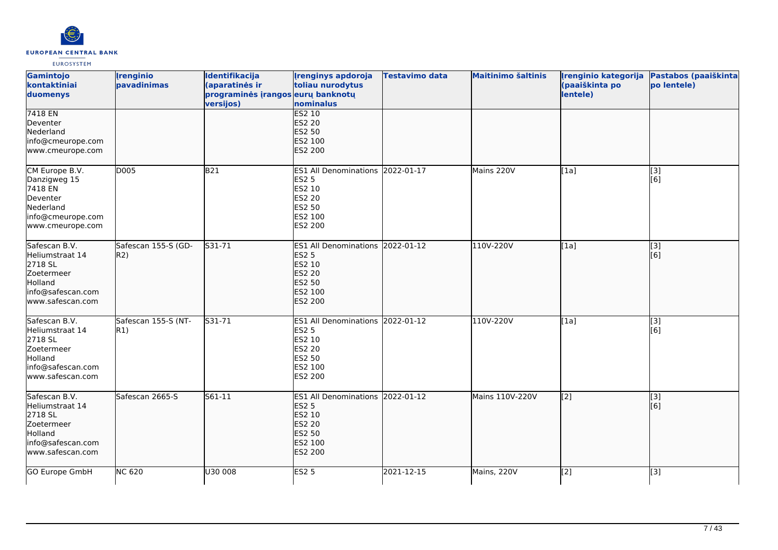

| Gamintojo<br>kontaktiniai<br>duomenys                                                                          | <b>Irenginio</b><br>pavadinimas | Identifikacija<br>(aparatinės ir<br>programinės įrangos eurų banknotų<br>versijos) | <b>Irenginys apdoroja</b><br>toliau nurodytus<br>nominalus                                                            | Testavimo data | <b>Maitinimo šaltinis</b> | Įrenginio kategorija<br>(paaiškinta po<br>lentele) | Pastabos (paaiškinta<br>po lentele) |
|----------------------------------------------------------------------------------------------------------------|---------------------------------|------------------------------------------------------------------------------------|-----------------------------------------------------------------------------------------------------------------------|----------------|---------------------------|----------------------------------------------------|-------------------------------------|
| 7418 EN<br>Deventer<br>Nederland<br>info@cmeurope.com<br>www.cmeurope.com                                      |                                 |                                                                                    | <b>ES2 10</b><br><b>ES2 20</b><br><b>ES2 50</b><br>ES2 100<br>ES2 200                                                 |                |                           |                                                    |                                     |
| CM Europe B.V.<br>Danzigweg 15<br>7418 EN<br>Deventer<br>Nederland<br>info@cmeurope.com<br>www.cmeurope.com    | D005                            | B21                                                                                | ES1 All Denominations 2022-01-17<br><b>ES2 5</b><br>ES2 10<br>ES2 20<br>ES2 50<br>ES2 100<br>ES2 200                  |                | Mains 220V                | [1a]                                               | $\overline{[3]}$<br>[6]             |
| Safescan B.V.<br>Heliumstraat 14<br>2718 SL<br>Zoetermeer<br>Holland<br>info@safescan.com<br>www.safescan.com  | Safescan 155-S (GD-<br>R2)      | S31-71                                                                             | <b>ES1 All Denominations</b><br><b>ES2 5</b><br>ES2 10<br><b>ES2 20</b><br><b>ES2 50</b><br>ES2 100<br><b>ES2 200</b> | 2022-01-12     | 110V-220V                 | [1a]                                               | $\overline{[}$ [3]<br>[6]           |
| Safescan B.V.<br>Heliumstraat 14<br>2718 SL<br>Zoetermeer<br>Holland<br>info@safescan.com<br>www.safescan.com  | Safescan 155-S (NT-<br>R1)      | S31-71                                                                             | <b>ES1 All Denominations</b><br>ES2 5<br>ES2 10<br><b>ES2 20</b><br>ES2 50<br>ES2 100<br>ES2 200                      | 2022-01-12     | 110V-220V                 | [1a]                                               | [3]<br>[6]                          |
| Safescan B.V.<br>Heliumstraat 14<br>2718 SL<br>Zoetermeer<br>Holland<br>info@safescan.com<br>lwww.safescan.com | Safescan 2665-S                 | $561 - 11$                                                                         | ES1 All Denominations 2022-01-12<br><b>ES2 5</b><br>ES2 10<br><b>ES2 20</b><br><b>ES2 50</b><br>ES2 100<br>ES2 200    |                | Mains 110V-220V           | $\overline{[2]}$                                   | $\overline{[}$ [3]<br>[6]           |
| GO Europe GmbH                                                                                                 | <b>NC 620</b>                   | U30 008                                                                            | <b>ES2 5</b>                                                                                                          | 2021-12-15     | Mains, 220V               | $\overline{[2]}$                                   | $\overline{[3]}$                    |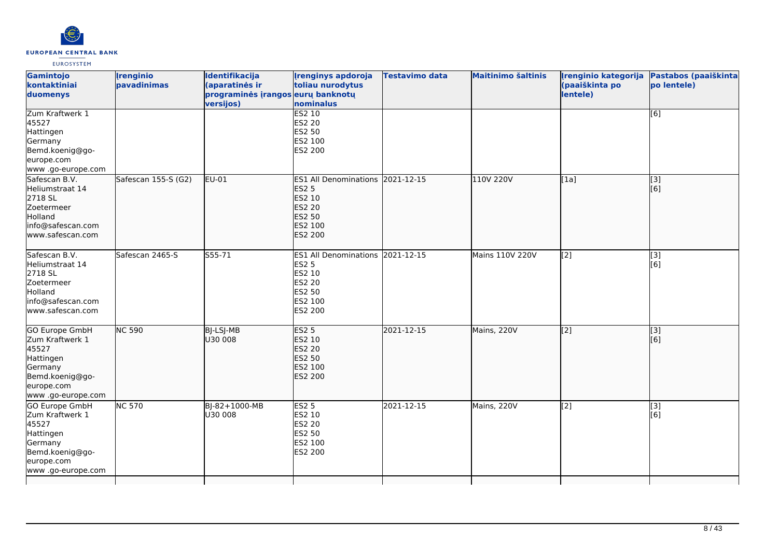

| Gamintojo<br>kontaktiniai<br>duomenys                                                                                     | <i><u><b><u>I</u>renginio</b></u></i><br>pavadinimas | Identifikacija<br>(aparatinės ir<br>programinės įrangos eurų banknotų<br>versijos) | <b>Irenginys apdoroja</b><br>toliau nurodytus<br>nominalus                                                                | Testavimo data | <b>Maitinimo šaltinis</b> | (paaiškinta po<br>lentele) | Irenginio kategorija Pastabos (paaiškinta<br>po lentele) |
|---------------------------------------------------------------------------------------------------------------------------|------------------------------------------------------|------------------------------------------------------------------------------------|---------------------------------------------------------------------------------------------------------------------------|----------------|---------------------------|----------------------------|----------------------------------------------------------|
| Zum Kraftwerk 1<br>45527<br>Hattingen<br>Germany<br>Bemd.koenig@go-<br>europe.com<br>www.go-europe.com                    |                                                      |                                                                                    | <b>ES2 10</b><br><b>ES2 20</b><br>ES2 50<br>ES2 100<br>ES2 200                                                            |                |                           |                            | [6]                                                      |
| Safescan B.V.<br>Heliumstraat 14<br>2718 SL<br>Zoetermeer<br>Holland<br>info@safescan.com<br>www.safescan.com             | Safescan 155-S (G2)                                  | EU-01                                                                              | ES1 All Denominations 2021-12-15<br><b>ES2 5</b><br>ES2 10<br><b>ES2 20</b><br><b>ES2 50</b><br>ES2 100<br><b>ES2 200</b> |                | 110V 220V                 | [1a]                       | [3]<br>[6]                                               |
| Safescan B.V.<br>Heliumstraat 14<br>2718 SL<br>Zoetermeer<br>Holland<br>info@safescan.com<br>www.safescan.com             | Safescan 2465-S                                      | S55-71                                                                             | ES1 All Denominations 2021-12-15<br><b>ES2 5</b><br>ES2 10<br><b>ES2 20</b><br>ES2 50<br>ES2 100<br>ES2 200               |                | Mains 110V 220V           | $\left[2\right]$           | [3]<br>[6]                                               |
| GO Europe GmbH<br>Zum Kraftwerk 1<br>45527<br>Hattingen<br>Germany<br>Bemd.koenig@go-<br>europe.com<br>www .go-europe.com | <b>NC 590</b>                                        | <b>BJ-LSJ-MB</b><br>U30 008                                                        | <b>ES2 5</b><br>ES2 10<br><b>ES2 20</b><br>ES2 50<br>ES2 100<br><b>ES2 200</b>                                            | 2021-12-15     | Mains, 220V               | $\overline{[2]}$           | $\overline{[3]}$<br>[6]                                  |
| GO Europe GmbH<br>Zum Kraftwerk 1<br>45527<br>Hattingen<br>Germany<br>Bemd.koenig@go-<br>europe.com<br>www.go-europe.com  | <b>NC 570</b>                                        | BJ-82+1000-MB<br>lu30 008                                                          | <b>ES2 5</b><br>ES2 10<br>ES2 20<br>ES2 50<br>ES2 100<br>ES2 200                                                          | 2021-12-15     | Mains, 220V               | [2]                        | [3]<br>[6]                                               |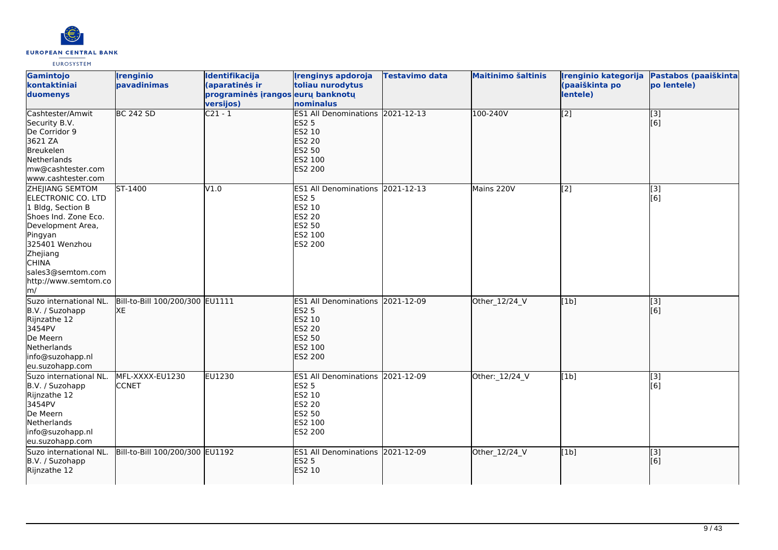

| Gamintojo<br>kontaktiniai<br>duomenys                                                                                                                                                                                      | <i><u><b><u>I</u>renginio</b></u></i><br>pavadinimas | Identifikacija<br>(aparatinės ir<br>programinės įrangos eurų banknotų<br>versijos) | <b>Irenginys apdoroja</b><br>toliau nurodytus<br>nominalus                                                                       | <b>Testavimo data</b> | <b>Maitinimo šaltinis</b> | Irenginio kategorija<br>(paaiškinta po<br>lentele) | Pastabos (paaiškinta<br>po lentele) |
|----------------------------------------------------------------------------------------------------------------------------------------------------------------------------------------------------------------------------|------------------------------------------------------|------------------------------------------------------------------------------------|----------------------------------------------------------------------------------------------------------------------------------|-----------------------|---------------------------|----------------------------------------------------|-------------------------------------|
| Cashtester/Amwit<br>Security B.V.<br>De Corridor 9<br>3621 ZA<br>Breukelen<br>Netherlands<br>mw@cashtester.com<br>www.cashtester.com                                                                                       | <b>BC 242 SD</b>                                     | $C21 - 1$                                                                          | ES1 All Denominations 2021-12-13<br><b>ES2 5</b><br>ES2 10<br><b>ES2 20</b><br><b>ES2 50</b><br>ES2 100<br><b>ES2 200</b>        |                       | 100-240V                  | $\overline{[2]}$                                   | $\overline{[}$ [3]<br>[6]           |
| <b>ZHEIIANG SEMTOM</b><br>ELECTRONIC CO. LTD<br>1 Bldg, Section B<br>Shoes Ind. Zone Eco.<br>Development Area,<br>Pingyan<br>325401 Wenzhou<br>Zhejiang<br><b>CHINA</b><br>sales3@semtom.com<br>http://www.semtom.co<br>m/ | ST-1400                                              | V1.0                                                                               | <b>ES1 All Denominations 2021-12-13</b><br><b>ES2 5</b><br>ES2 10<br><b>ES2 20</b><br><b>ES2 50</b><br>ES2 100<br><b>ES2 200</b> |                       | Mains 220V                | [2]                                                | [3]<br>[6]                          |
| Suzo international NL.<br>B.V. / Suzohapp<br>Rijnzathe 12<br>3454PV<br>De Meern<br>Netherlands<br>info@suzohapp.nl<br>eu.suzohapp.com                                                                                      | Bill-to-Bill 100/200/300 EU1111<br><b>XE</b>         |                                                                                    | ES1 All Denominations 2021-12-09<br><b>ES2 5</b><br><b>ES2 10</b><br><b>ES2 20</b><br><b>ES2 50</b><br>ES2 100<br><b>ES2 200</b> |                       | Other_12/24_V             | [1b]                                               | [3]<br>[6]                          |
| Suzo international NL.<br>B.V. / Suzohapp<br>Rijnzathe 12<br>3454PV<br>De Meern<br>Netherlands<br>info@suzohapp.nl<br>eu.suzohapp.com                                                                                      | MFL-XXXX-EU1230<br><b>CCNET</b>                      | EU1230                                                                             | ES1 All Denominations 2021-12-09<br><b>ES2 5</b><br>ES2 10<br><b>ES2 20</b><br><b>ES2 50</b><br>ES2 100<br>ES2 200               |                       | Other: 12/24 V            | [1b]                                               | [3]<br>[6]                          |
| Suzo international NL.<br>B.V. / Suzohapp<br>Rijnzathe 12                                                                                                                                                                  | Bill-to-Bill 100/200/300 EU1192                      |                                                                                    | ES1 All Denominations 2021-12-09<br><b>ES2 5</b><br><b>ES2 10</b>                                                                |                       | Other_12/24_V             | [1b]                                               | $\overline{[}$ [3]<br>[[6]          |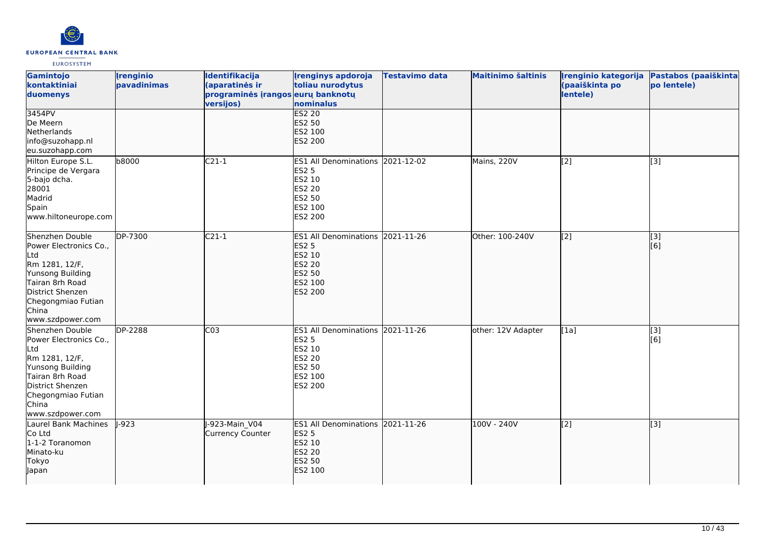

| Gamintojo<br>kontaktiniai<br>duomenys                                                                                                                                            | <b>Irenginio</b><br>pavadinimas | <b>Identifikacija</b><br>(aparatinės ir<br>programinės įrangos eurų banknotų<br>versijos) | <b>Irenginys apdoroja</b><br>toliau nurodytus<br>nominalus                                                                | <b>Testavimo data</b> | <b>Maitinimo šaltinis</b> | Irenginio kategorija<br>(paaiškinta po<br>lentele) | Pastabos (paaiškinta<br>po lentele) |
|----------------------------------------------------------------------------------------------------------------------------------------------------------------------------------|---------------------------------|-------------------------------------------------------------------------------------------|---------------------------------------------------------------------------------------------------------------------------|-----------------------|---------------------------|----------------------------------------------------|-------------------------------------|
| 3454PV<br>De Meern<br>Netherlands<br>info@suzohapp.nl<br>eu.suzohapp.com                                                                                                         |                                 |                                                                                           | <b>ES2 20</b><br><b>ES2 50</b><br>ES2 100<br><b>ES2 200</b>                                                               |                       |                           |                                                    |                                     |
| Hilton Europe S.L.<br>Principe de Vergara<br>5-bajo dcha.<br>28001<br>Madrid<br>Spain<br>www.hiltoneurope.com                                                                    | b8000                           | $C21-1$                                                                                   | ES1 All Denominations 2021-12-02<br><b>ES2 5</b><br>ES2 10<br><b>ES2 20</b><br><b>ES2 50</b><br>ES2 100<br>ES2 200        |                       | Mains, 220V               | $\left[2\right]$                                   | [3]                                 |
| Shenzhen Double<br>Power Electronics Co.,<br>Ltd<br>Rm 1281, 12/F,<br>Yunsong Building<br>Tairan 8rh Road<br>District Shenzen<br>Chegongmiao Futian<br>China<br>www.szdpower.com | DP-7300                         | $C21-1$                                                                                   | ES1 All Denominations 2021-11-26<br><b>ES2 5</b><br>ES2 10<br><b>ES2 20</b><br><b>ES2 50</b><br>ES2 100<br><b>ES2 200</b> |                       | Other: 100-240V           | $\overline{[2]}$                                   | $\overline{[}3]$<br>[6]             |
| Shenzhen Double<br>Power Electronics Co.,<br>Ltd<br>Rm 1281, 12/F,<br>Yunsong Building<br>Tairan 8rh Road<br>District Shenzen<br>Chegongmiao Futian<br>China<br>www.szdpower.com | <b>DP-2288</b>                  | CO <sub>3</sub>                                                                           | ES1 All Denominations 2021-11-26<br><b>ES2 5</b><br>ES2 10<br><b>ES2 20</b><br><b>ES2 50</b><br>ES2 100<br>ES2 200        |                       | other: 12V Adapter        | [1a]                                               | $\overline{[3]}$<br>[6]             |
| Laurel Bank Machines<br>Co Ltd<br>1-1-2 Toranomon<br>Minato-ku<br><b>Tokyo</b><br>Japan                                                                                          | $-923$                          | J-923-Main V04<br><b>Currency Counter</b>                                                 | ES1 All Denominations 2021-11-26<br><b>ES2 5</b><br>ES2 10<br><b>ES2 20</b><br><b>ES2 50</b><br>ES2 100                   |                       | 100V - 240V               | $\left[2\right]$                                   | $\overline{[3]}$                    |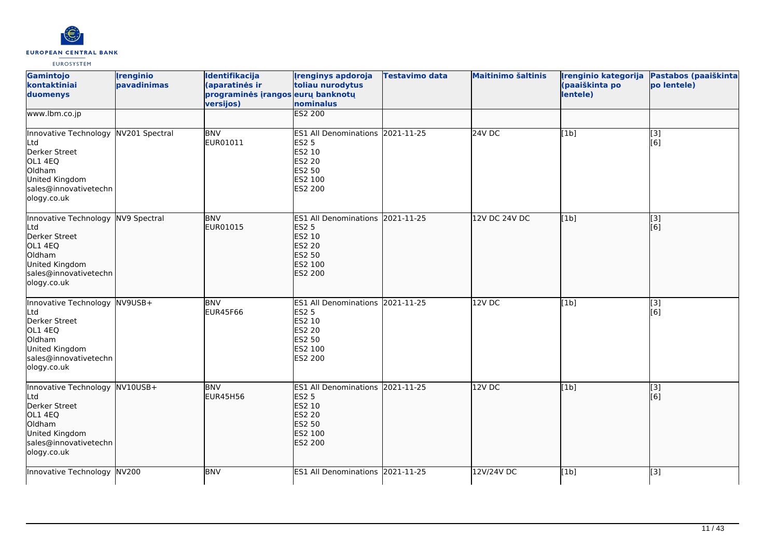

| Gamintojo<br>kontaktiniai<br>duomenys                                                                                                       | <i><u><b><u>I</u>renginio</b></u></i><br>pavadinimas | Identifikacija<br>(aparatinės ir<br>programinės įrangos eurų banknotų<br>versijos) | <b>Irenginys apdoroja</b><br>toliau nurodytus<br>nominalus                                                                       | <b>Testavimo data</b> | <b>Maitinimo šaltinis</b> | Irenginio kategorija<br>(paaiškinta po<br>lentele) | Pastabos (paaiškinta<br>po lentele) |
|---------------------------------------------------------------------------------------------------------------------------------------------|------------------------------------------------------|------------------------------------------------------------------------------------|----------------------------------------------------------------------------------------------------------------------------------|-----------------------|---------------------------|----------------------------------------------------|-------------------------------------|
| www.lbm.co.jp                                                                                                                               |                                                      |                                                                                    | <b>ES2 200</b>                                                                                                                   |                       |                           |                                                    |                                     |
| Innovative Technology NV201 Spectral<br>Ltd<br>Derker Street<br>OL1 4EQ<br>Oldham<br>United Kingdom<br>sales@innovativetechn<br>ology.co.uk |                                                      | <b>BNV</b><br>EUR01011                                                             | ES1 All Denominations 2021-11-25<br><b>ES2 5</b><br>ES2 10<br><b>ES2 20</b><br><b>ES2 50</b><br>ES2 100<br>ES2 200               |                       | $24V$ DC                  | [1b]                                               | $\overline{[}3]$<br>[6]             |
| Innovative Technology NV9 Spectral<br>Ltd<br>Derker Street<br>OL1 4EQ<br>Oldham<br>United Kingdom<br>sales@innovativetechn<br>ology.co.uk   |                                                      | <b>BNV</b><br>EUR01015                                                             | ES1 All Denominations 2021-11-25<br><b>ES2 5</b><br><b>ES2 10</b><br><b>ES2 20</b><br><b>ES2 50</b><br>ES2 100<br><b>ES2 200</b> |                       | 12V DC 24V DC             | [1b]                                               | [3]<br>[6]                          |
| Innovative Technology NV9USB+<br>Ltd<br>Derker Street<br>OL1 4EQ<br>Oldham<br>United Kingdom<br>sales@innovativetechn<br>ology.co.uk        |                                                      | <b>BNV</b><br>EUR45F66                                                             | ES1 All Denominations 2021-11-25<br><b>ES2 5</b><br><b>ES2 10</b><br><b>ES2 20</b><br><b>ES2 50</b><br>ES2 100<br>ES2 200        |                       | 12V DC                    | [1b]                                               | $\overline{[3]}$<br>[6]             |
| Innovative Technology NV10USB+<br>Ltd<br>Derker Street<br>OL1 4EQ<br>Oldham<br>United Kingdom<br>sales@innovativetechn<br>ology.co.uk       |                                                      | <b>BNV</b><br>EUR45H56                                                             | <b>ES1 All Denominations</b><br><b>ES2 5</b><br><b>ES2 10</b><br><b>ES2 20</b><br><b>ES2 50</b><br>ES2 100<br><b>ES2 200</b>     | 2021-11-25            | 12V DC                    | [1b]                                               | [[3]<br>[6]                         |
| Innovative Technology NV200                                                                                                                 |                                                      | <b>BNV</b>                                                                         | ES1 All Denominations 2021-11-25                                                                                                 |                       | 12V/24V DC                | [1b]                                               | [3]                                 |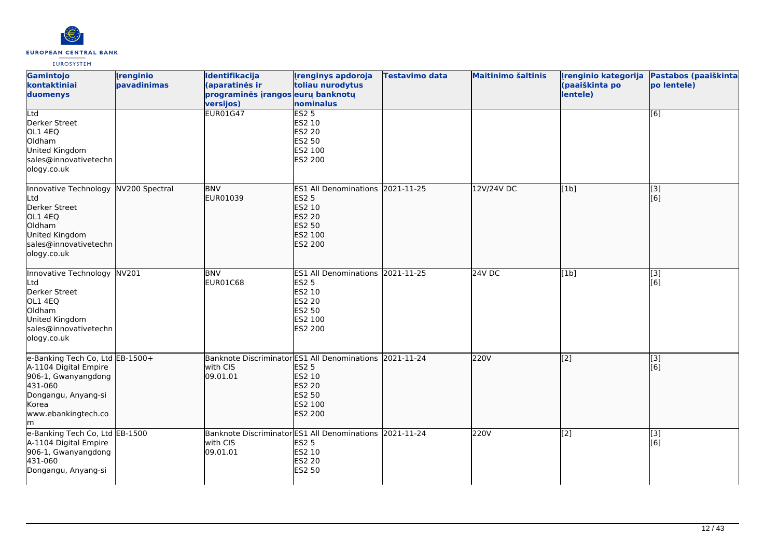

| Gamintojo<br>kontaktiniai<br>duomenys                                                                                                                   | <b>Irenginio</b><br>pavadinimas | Identifikacija<br>(aparatinės ir<br>programinės įrangos eurų banknotų<br>versijos)<br><b>EUR01G47</b> | <b>Irenginys apdoroja</b><br>toliau nurodytus<br>nominalus<br>ES2 <sub>5</sub>                                     | <b>Testavimo data</b> | <b>Maitinimo šaltinis</b> | Irenginio kategorija<br>(paaiškinta po<br>lentele) | Pastabos (paaiškinta<br>po lentele) |
|---------------------------------------------------------------------------------------------------------------------------------------------------------|---------------------------------|-------------------------------------------------------------------------------------------------------|--------------------------------------------------------------------------------------------------------------------|-----------------------|---------------------------|----------------------------------------------------|-------------------------------------|
| Ltd<br>Derker Street<br>OL1 4EQ<br>Oldham<br>United Kingdom<br>sales@innovativetechn<br>ology.co.uk                                                     |                                 |                                                                                                       | ES2 10<br><b>ES2 20</b><br>ES2 50<br>ES2 100<br>ES2 200                                                            |                       |                           |                                                    | [6]                                 |
| Innovative Technology<br>Ltd<br>Derker Street<br>OL1 4EQ<br>Oldham<br>United Kingdom<br>sales@innovativetechn<br>ology.co.uk                            | NV200 Spectral                  | <b>BNV</b><br>EUR01039                                                                                | ES1 All Denominations 2021-11-25<br><b>ES2 5</b><br>ES2 10<br><b>ES2 20</b><br><b>ES2 50</b><br>ES2 100<br>ES2 200 |                       | 12V/24V DC                | [1b]                                               | [[3]<br>[6]                         |
| Innovative Technology<br>Ltd<br>Derker Street<br>OL1 4EQ<br>Oldham<br>United Kingdom<br>sales@innovativetechn<br>ology.co.uk                            | NV201                           | <b>BNV</b><br>EUR01C68                                                                                | ES1 All Denominations 2021-11-25<br><b>ES2 5</b><br>ES2 10<br>ES2 20<br>ES2 50<br>ES2 100<br>ES2 200               |                       | <b>24V DC</b>             | [1b]                                               | $\overline{[}3]$<br>[6]             |
| e-Banking Tech Co, Ltd EB-1500+<br>A-1104 Digital Empire<br>906-1, Gwanyangdong<br>431-060<br>Dongangu, Anyang-si<br>Korea<br>www.ebankingtech.co<br>lm |                                 | Banknote Discriminator ES1 All Denominations 2021-11-24<br>with CIS<br>09.01.01                       | <b>ES2 5</b><br>ES2 10<br><b>ES2 20</b><br>ES2 50<br>ES2 100<br>ES2 200                                            |                       | <b>220V</b>               | $\overline{[2]}$                                   | $\overline{[}3]$<br>[6]             |
| e-Banking Tech Co, Ltd EB-1500<br>A-1104 Digital Empire<br>906-1, Gwanyangdong<br>431-060<br>Dongangu, Anyang-si                                        |                                 | Banknote Discriminator ES1 All Denominations 2021-11-24<br>with CIS<br>09.01.01                       | <b>ES2 5</b><br>ES2 10<br><b>ES2 20</b><br>ES2 50                                                                  |                       | 220V                      | $\overline{[2]}$                                   | $\overline{[}3]$<br>[6]             |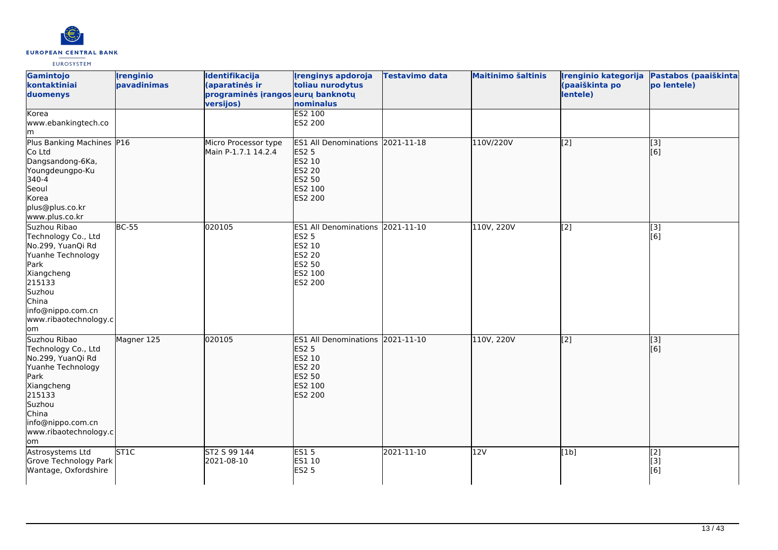

| Gamintojo<br>kontaktiniai<br>duomenys<br>Korea                                                                                                                                        | <b>Irenginio</b><br>pavadinimas | Identifikacija<br>(aparatinės ir<br>programinės įrangos eurų banknotų<br>versijos) | <b>Irenginys apdoroja</b><br>toliau nurodytus<br>nominalus<br><b>ES2 100</b>                                       | <b>Testavimo data</b> | <b>Maitinimo šaltinis</b> | Irenginio kategorija<br>(paaiškinta po<br>lentele) | Pastabos (paaiškinta<br>po lentele) |
|---------------------------------------------------------------------------------------------------------------------------------------------------------------------------------------|---------------------------------|------------------------------------------------------------------------------------|--------------------------------------------------------------------------------------------------------------------|-----------------------|---------------------------|----------------------------------------------------|-------------------------------------|
| www.ebankingtech.co<br>lm                                                                                                                                                             |                                 |                                                                                    | ES2 200                                                                                                            |                       |                           |                                                    |                                     |
| Plus Banking Machines P16<br>Co Ltd<br>Dangsandong-6Ka,<br>Youngdeungpo-Ku<br>340-4<br>Seoul<br>Korea<br>plus@plus.co.kr<br>www.plus.co.kr                                            |                                 | Micro Processor type<br>Main P-1.7.1 14.2.4                                        | ES1 All Denominations 2021-11-18<br><b>ES2 5</b><br>ES2 10<br><b>ES2 20</b><br><b>ES2 50</b><br>ES2 100<br>ES2 200 |                       | 110V/220V                 | $\overline{[2]}$                                   | $\overline{[3]}$<br>[6]             |
| Suzhou Ribao<br>Technology Co., Ltd<br>No.299, YuanQi Rd<br>Yuanhe Technology<br>Park<br>Xiangcheng<br>215133<br>Suzhou<br>China<br>info@nippo.com.cn<br>www.ribaotechnology.c<br>om  | <b>BC-55</b>                    | 020105                                                                             | ES1 All Denominations 2021-11-10<br><b>ES2 5</b><br>ES2 10<br>ES2 20<br>ES2 50<br>ES2 100<br>ES2 200               |                       | 110V, 220V                | [2]                                                | [3]<br>$\overline{[}6\overline{)}$  |
| Suzhou Ribao<br>Technology Co., Ltd<br>No.299, YuanQi Rd<br>Yuanhe Technology<br>Park<br>Xiangcheng<br>215133<br>Suzhou<br>China<br>info@nippo.com.cn<br>www.ribaotechnology.c<br>lom | Magner 125                      | 020105                                                                             | ES1 All Denominations 2021-11-10<br><b>ES2 5</b><br>ES2 10<br><b>ES2 20</b><br>ES2 50<br>ES2 100<br>ES2 200        |                       | 110V, 220V                | $\overline{[2]}$                                   | [3]<br>[[6]                         |
| Astrosystems Ltd<br>Grove Technology Park<br>Wantage, Oxfordshire                                                                                                                     | ST <sub>1C</sub>                | ST2 S 99 144<br>2021-08-10                                                         | ES15<br>ES1 10<br><b>ES2 5</b>                                                                                     | 2021-11-10            | 12V                       | [1b]                                               | [2]<br>[3]<br>[6]                   |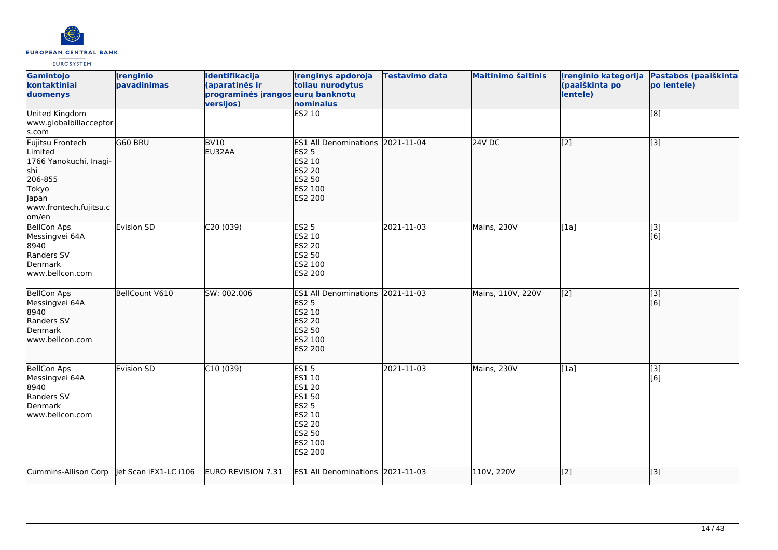

| Gamintojo<br>kontaktiniai<br>duomenys                                                                                                | <i><u><b><u>I</u>renginio</b></u></i><br>pavadinimas | Identifikacija<br>(aparatinės ir<br>programinės įrangos eurų banknotų<br>versijos) | <b>Irenginys apdoroja</b><br>toliau nurodytus<br>nominalus                                                                                | <b>Testavimo data</b> | <b>Maitinimo šaltinis</b> | Irenginio kategorija<br>(paaiškinta po<br>lentele) | Pastabos (paaiškinta<br>po lentele) |
|--------------------------------------------------------------------------------------------------------------------------------------|------------------------------------------------------|------------------------------------------------------------------------------------|-------------------------------------------------------------------------------------------------------------------------------------------|-----------------------|---------------------------|----------------------------------------------------|-------------------------------------|
| <b>United Kingdom</b><br>www.globalbillacceptor<br>s.com                                                                             |                                                      |                                                                                    | <b>ES2 10</b>                                                                                                                             |                       |                           |                                                    | [8]                                 |
| Fujitsu Frontech<br>Limited<br>1766 Yanokuchi, Inagi-<br>shi<br>206-855<br><b>Tokyo</b><br>Japan<br>www.frontech.fujitsu.c<br>lom/en | G60 BRU                                              | <b>BV10</b><br>EU32AA                                                              | <b>ES1 All Denominations</b><br><b>ES2 5</b><br><b>ES2 10</b><br><b>ES2 20</b><br><b>ES2 50</b><br>ES2 100<br><b>ES2 200</b>              | 2021-11-04            | $24V$ DC                  | $\overline{[2]}$                                   | $\overline{[3]}$                    |
| <b>BellCon Aps</b><br>Messingvei 64A<br>8940<br>Randers SV<br>Denmark<br>www.bellcon.com                                             | Evision SD                                           | C20(039)                                                                           | <b>ES2 5</b><br><b>ES2 10</b><br><b>ES2 20</b><br><b>ES2 50</b><br>ES2 100<br>ES2 200                                                     | 2021-11-03            | Mains, 230V               | [1a]                                               | $\overline{[3]}$<br>[6]             |
| BellCon Aps<br>Messingvei 64A<br>8940<br>Randers SV<br>Denmark<br>www.bellcon.com                                                    | BellCount V610                                       | SW: 002.006                                                                        | <b>ES1 All Denominations</b><br><b>ES2 5</b><br><b>ES2 10</b><br><b>ES2 20</b><br><b>ES2 50</b><br>ES2 100<br><b>ES2 200</b>              | 2021-11-03            | Mains, 110V, 220V         | $\left[ \begin{matrix} 2 \end{matrix} \right]$     | [3]<br>[6]                          |
| <b>BellCon Aps</b><br>Messingvei 64A<br>8940<br>Randers SV<br>Denmark<br>www.bellcon.com                                             | Evision SD                                           | C10(039)                                                                           | <b>ES15</b><br>ES1 10<br><b>ES1 20</b><br><b>ES1 50</b><br><b>ES2 5</b><br>ES2 10<br><b>ES2 20</b><br><b>ES2 50</b><br>ES2 100<br>ES2 200 | 2021-11-03            | Mains, 230V               | [1a]                                               | $\overline{[}3]$<br>[6]             |
| Cummins-Allison Corp                                                                                                                 | let Scan iFX1-LC i106                                | EURO REVISION 7.31                                                                 | ES1 All Denominations 2021-11-03                                                                                                          |                       | 110V, 220V                | $\overline{[2]}$                                   | [3]                                 |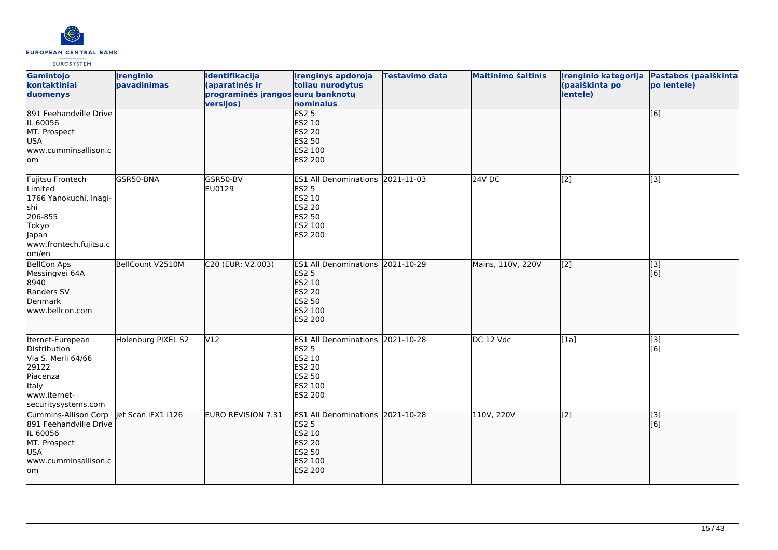

| Gamintojo<br>kontaktiniai<br>duomenys                                                                                        | <b>Irenginio</b><br>pavadinimas | Identifikacija<br>(aparatinės ir<br>programinės įrangos eurų banknotų<br>versijos) | <b>Irenginys apdoroja</b><br>toliau nurodytus<br>nominalus                                                         | Testavimo data | <b>Maitinimo šaltinis</b> | Irenginio kategorija<br>(paaiškinta po<br>lentele) | Pastabos (paaiškinta<br>po lentele) |
|------------------------------------------------------------------------------------------------------------------------------|---------------------------------|------------------------------------------------------------------------------------|--------------------------------------------------------------------------------------------------------------------|----------------|---------------------------|----------------------------------------------------|-------------------------------------|
| 891 Feehandville Drive<br>IL 60056<br>MT. Prospect<br>USA<br>www.cumminsallison.c<br>lom                                     |                                 |                                                                                    | <b>ES2 5</b><br>ES2 10<br><b>ES2 20</b><br>ES2 50<br>ES2 100<br>ES2 200                                            |                |                           |                                                    | [6]                                 |
| Fujitsu Frontech<br>Limited<br>1766 Yanokuchi, Inagi-<br>shi<br>206-855<br>Tokyo<br>Japan<br>www.frontech.fujitsu.c<br>om/en | GSR50-BNA                       | <b>GSR50-BV</b><br>EU0129                                                          | ES1 All Denominations 2021-11-03<br><b>ES2 5</b><br>ES2 10<br>ES2 20<br>ES2 50<br>ES2 100<br>ES2 200               |                | 24V DC                    | $\sqrt{2}$                                         | [3]                                 |
| BellCon Aps<br>Messingvei 64A<br>8940<br>Randers SV<br>Denmark<br>www.bellcon.com                                            | BellCount V2510M                | C20 (EUR: V2.003)                                                                  | ES1 All Denominations 2021-10-29<br><b>ES2 5</b><br>ES2 10<br><b>ES2 20</b><br>ES2 50<br>ES2 100<br>ES2 200        |                | Mains, 110V, 220V         | $\left[$ [2]                                       | $\overline{[}$ [3]<br>[[6]          |
| Iternet-European<br>Distribution<br>Via S. Merli 64/66<br>29122<br>Piacenza<br>Italy<br>www.iternet-<br>securitysystems.com  | Holenburg PIXEL S2              | V12                                                                                | ES1 All Denominations 2021-10-28<br>ES2 5<br>ES2 10<br>ES2 20<br>ES2 50<br>ES2 100<br>ES2 200                      |                | DC 12 Vdc                 | [1a]                                               | $\overline{[}3]$<br>[6]             |
| Cummins-Allison Corp<br>891 Feehandville Drive<br>IL 60056<br>MT. Prospect<br>USA<br>www.cumminsallison.c<br>lom             | let Scan iFX1 i126              | EURO REVISION 7.31                                                                 | ES1 All Denominations 2021-10-28<br><b>ES2 5</b><br>ES2 10<br><b>ES2 20</b><br><b>ES2 50</b><br>ES2 100<br>ES2 200 |                | 110V, 220V                | $\sqrt{2}$                                         | [[3]<br>[6]                         |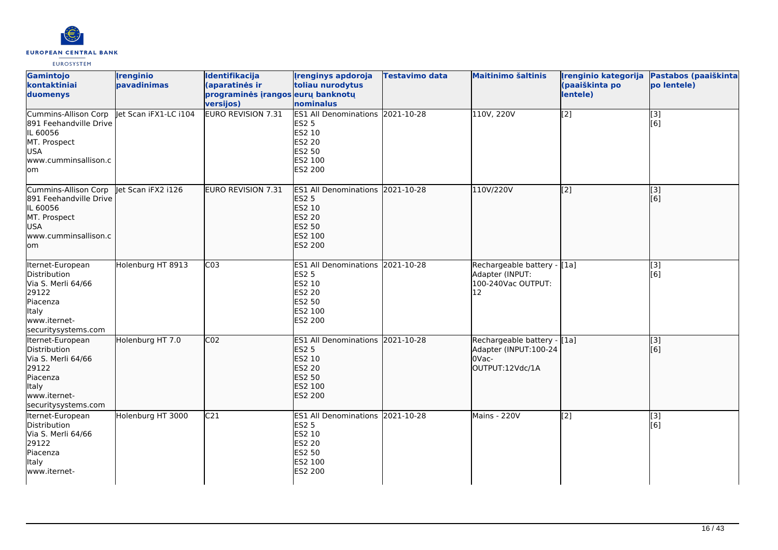

| Gamintojo<br>kontaktiniai<br>duomenys                                                                                              | <b>Irenginio</b><br>pavadinimas | Identifikacija<br>(aparatinės ir<br>programinės įrangos eurų banknotų<br>versijos) | <b>Irenginys apdoroja</b><br>toliau nurodytus<br>nominalus                                                                | <b>Testavimo data</b> | <b>Maitinimo šaltinis</b>                                                         | (paaiškinta po<br>lentele) | Įrenginio kategorija Pastabos (paaiškinta<br>po lentele) |
|------------------------------------------------------------------------------------------------------------------------------------|---------------------------------|------------------------------------------------------------------------------------|---------------------------------------------------------------------------------------------------------------------------|-----------------------|-----------------------------------------------------------------------------------|----------------------------|----------------------------------------------------------|
| Cummins-Allison Corp<br>891 Feehandville Drive<br>IL 60056<br>MT. Prospect<br>USA<br>www.cumminsallison.c<br>lom                   | let Scan iFX1-LC i104           | <b>EURO REVISION 7.31</b>                                                          | ES1 All Denominations 2021-10-28<br><b>ES2 5</b><br>ES2 10<br>ES2 20<br>ES2 50<br>ES2 100<br>ES2 200                      |                       | 110V, 220V                                                                        | [2]                        | $\overline{[3]}$<br>[6]                                  |
| Cummins-Allison Corp<br>891 Feehandville Drive<br>IL 60056<br>MT. Prospect<br>lusa.<br>www.cumminsallison.c<br>lom                 | let Scan iFX2 i126              | EURO REVISION 7.31                                                                 | ES1 All Denominations 2021-10-28<br><b>ES2 5</b><br>ES2 10<br><b>ES2 20</b><br><b>ES2 50</b><br>ES2 100<br>ES2 200        |                       | 110V/220V                                                                         | [[2]                       | [3]<br>[6]                                               |
| Iternet-European<br>Distribution<br>Via S. Merli 64/66<br>29122<br>Piacenza<br>Italy<br>www.iternet-<br>securitysystems.com        | Holenburg HT 8913               | C <sub>03</sub>                                                                    | ES1 All Denominations 2021-10-28<br><b>ES2 5</b><br>ES2 10<br>ES2 20<br>ES2 50<br>ES2 100<br>ES2 200                      |                       | Rechargeable battery - [1a]<br>Adapter (INPUT:<br>100-240Vac OUTPUT:<br>12        |                            | [3]<br>[6]                                               |
| Iternet-European<br><b>Distribution</b><br>Via S. Merli 64/66<br>29122<br>Piacenza<br>ltaly<br>www.iternet-<br>securitysystems.com | Holenburg HT 7.0                | CO <sub>2</sub>                                                                    | ES1 All Denominations 2021-10-28<br><b>ES2 5</b><br>ES2 10<br><b>ES2 20</b><br><b>ES2 50</b><br>ES2 100<br><b>ES2 200</b> |                       | Rechargeable battery - [[1a]<br>Adapter (INPUT:100-24<br>OVac-<br>OUTPUT:12Vdc/1A |                            | [3]<br>[6]                                               |
| Iternet-European<br>Distribution<br>Via S. Merli 64/66<br>29122<br>Piacenza<br>Italy<br>www.iternet-                               | Holenburg HT 3000               | C <sub>21</sub>                                                                    | ES1 All Denominations 2021-10-28<br><b>ES2 5</b><br>ES2 10<br>ES2 20<br>ES2 50<br>ES2 100<br>ES2 200                      |                       | Mains - 220V                                                                      | [2]                        | [3]<br>[6]                                               |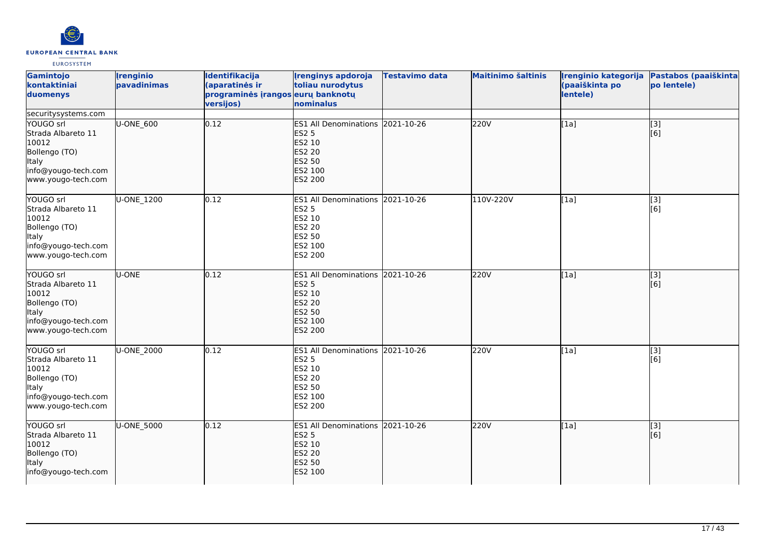

| Gamintojo<br>kontaktiniai<br>duomenys                                                                                  | <b>Irenginio</b><br>pavadinimas | <b>Identifikacija</b><br>(aparatinės ir<br>programinės įrangos eurų banknotų<br>versijos) | <b>Irenginys apdoroja</b><br>toliau nurodytus<br>nominalus                                                                   | <b>Testavimo data</b> | <b>Maitinimo šaltinis</b> | Irenginio kategorija<br>(paaiškinta po<br>lentele) | Pastabos (paaiškinta<br>po lentele) |
|------------------------------------------------------------------------------------------------------------------------|---------------------------------|-------------------------------------------------------------------------------------------|------------------------------------------------------------------------------------------------------------------------------|-----------------------|---------------------------|----------------------------------------------------|-------------------------------------|
| securitysystems.com                                                                                                    |                                 |                                                                                           |                                                                                                                              |                       |                           |                                                    |                                     |
| YOUGO srl<br>Strada Albareto 11<br>10012<br>Bollengo (TO)<br><b>Italy</b><br>info@yougo-tech.com<br>www.yougo-tech.com | U-ONE_600                       | 0.12                                                                                      | <b>ES1 All Denominations</b><br><b>ES2 5</b><br><b>ES2 10</b><br><b>ES2 20</b><br><b>ES2 50</b><br>ES2 100<br><b>ES2 200</b> | 2021-10-26            | 220V                      | [1a]                                               | $\overline{[3]}$<br>[6]             |
| YOUGO srl<br>Strada Albareto 11<br>10012<br>Bollengo (TO)<br><b>Italy</b><br>info@yougo-tech.com<br>www.yougo-tech.com | U-ONE_1200                      | 0.12                                                                                      | <b>ES1 All Denominations</b><br><b>ES2 5</b><br>ES2 10<br><b>ES2 20</b><br><b>ES2 50</b><br>ES2 100<br><b>ES2 200</b>        | 2021-10-26            | 110V-220V                 | [1a]                                               | [3]<br>[6]                          |
| YOUGO srl<br>Strada Albareto 11<br>10012<br>Bollengo (TO)<br>Italy<br>info@yougo-tech.com<br>www.yougo-tech.com        | U-ONE                           | 0.12                                                                                      | <b>ES1 All Denominations</b><br><b>ES2 5</b><br><b>ES2 10</b><br><b>ES2 20</b><br><b>ES2 50</b><br>ES2 100<br><b>ES2 200</b> | 2021-10-26            | 220V                      | [1a]                                               | $\overline{[}3]$<br>[6]             |
| YOUGO srl<br>Strada Albareto 11<br>10012<br>Bollengo (TO)<br>Italy<br>info@yougo-tech.com<br>www.yougo-tech.com        | U-ONE 2000                      | 0.12                                                                                      | ES1 All Denominations 2021-10-26<br><b>ES2 5</b><br><b>ES2 10</b><br><b>ES2 20</b><br><b>ES2 50</b><br>ES2 100<br>ES2 200    |                       | 220V                      | [1a]                                               | $\overline{[3]}$<br>[6]             |
| YOUGO srl<br>Strada Albareto 11<br>10012<br>Bollengo (TO)<br><b>Italy</b><br>info@yougo-tech.com                       | U-ONE_5000                      | 0.12                                                                                      | <b>ES1 All Denominations</b><br><b>ES2 5</b><br><b>ES2 10</b><br><b>ES2 20</b><br><b>ES2 50</b><br>ES2 100                   | 2021-10-26            | 220V                      | [1a]                                               | [3]<br>[6]                          |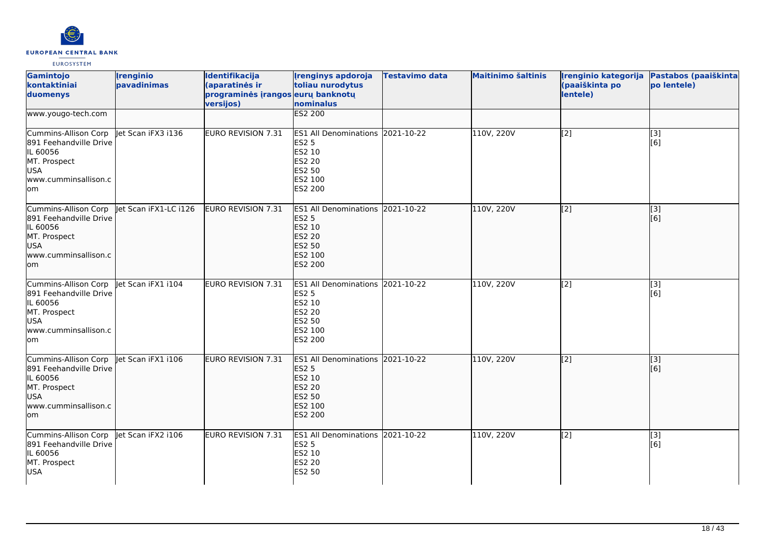

| Gamintojo<br>kontaktiniai<br>duomenys                                                                                   | <b>Irenginio</b><br>pavadinimas | Identifikacija<br>(aparatinės ir<br>programinės įrangos eurų banknotų<br>versijos) | <b>Irenginys apdoroja</b><br>toliau nurodytus<br>nominalus                                                            | <b>Testavimo data</b> | <b>Maitinimo šaltinis</b> | Irenginio kategorija<br>(paaiškinta po<br>lentele) | Pastabos (paaiškinta<br>po lentele) |
|-------------------------------------------------------------------------------------------------------------------------|---------------------------------|------------------------------------------------------------------------------------|-----------------------------------------------------------------------------------------------------------------------|-----------------------|---------------------------|----------------------------------------------------|-------------------------------------|
| www.yougo-tech.com                                                                                                      |                                 |                                                                                    | <b>ES2 200</b>                                                                                                        |                       |                           |                                                    |                                     |
| Cummins-Allison Corp<br>891 Feehandville Drive<br>IL 60056<br>MT. Prospect<br><b>USA</b><br>www.cumminsallison.c<br>lom | Jet Scan iFX3 i136              | <b>EURO REVISION 7.31</b>                                                          | ES1 All Denominations 2021-10-22<br><b>ES2 5</b><br>ES2 10<br><b>ES2 20</b><br>ES2 50<br>ES2 100<br>ES2 200           |                       | 110V, 220V                | [2]                                                | [3]<br>[6]                          |
| Cummins-Allison Corp<br>891 Feehandville Drive<br>IL 60056<br>MT. Prospect<br><b>USA</b><br>www.cumminsallison.c<br>lom | let Scan iFX1-LC i126           | EURO REVISION 7.31                                                                 | <b>ES1 All Denominations</b><br><b>ES2 5</b><br><b>ES2 10</b><br><b>ES2 20</b><br><b>ES2 50</b><br>ES2 100<br>ES2 200 | 2021-10-22            | 110V, 220V                | [2]                                                | [3]<br>[6]                          |
| Cummins-Allison Corp<br>891 Feehandville Drive<br>IL 60056<br>MT. Prospect<br><b>USA</b><br>www.cumminsallison.c<br>lom | let Scan iFX1 i104              | <b>EURO REVISION 7.31</b>                                                          | <b>ES1 All Denominations</b><br><b>ES2 5</b><br>ES2 10<br>ES2 20<br>ES2 50<br>ES2 100<br>ES2 200                      | 2021-10-22            | 110V, 220V                | [2]                                                | $[3]$<br>[6]                        |
| Cummins-Allison Corp<br>891 Feehandville Drive<br>IL 60056<br>MT. Prospect<br>USA<br>www.cumminsallison.c<br>lom        | let Scan iFX1 i106              | <b>EURO REVISION 7.31</b>                                                          | <b>ES1 All Denominations</b><br><b>ES2 5</b><br>ES2 10<br><b>ES2 20</b><br><b>ES2 50</b><br>ES2 100<br>ES2 200        | 2021-10-22            | 110V, 220V                | [2]                                                | [3]<br>[6]                          |
| Cummins-Allison Corp<br>891 Feehandville Drive<br>IL 60056<br>MT. Prospect<br><b>USA</b>                                | Jet Scan iFX2 i106              | EURO REVISION 7.31                                                                 | ES1 All Denominations 2021-10-22<br><b>ES2 5</b><br>ES2 10<br>ES2 20<br><b>ES2 50</b>                                 |                       | 110V, 220V                | [2]                                                | $\overline{[}3]$<br>[6]             |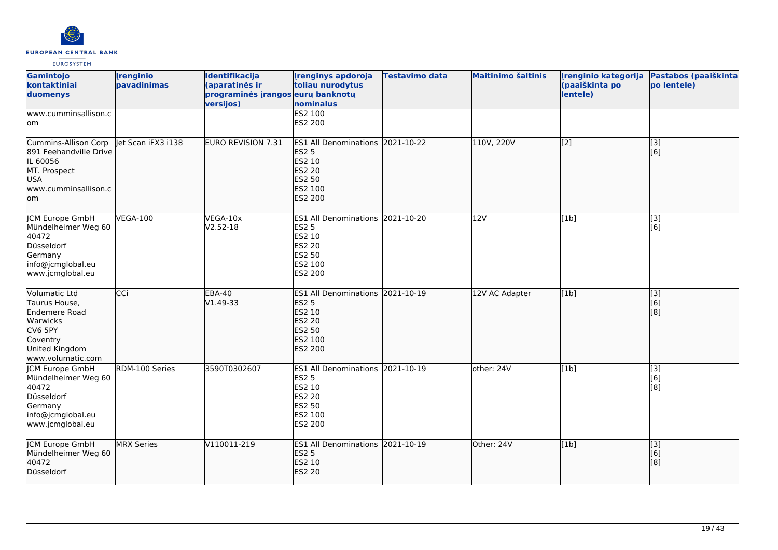

| Gamintojo<br>kontaktiniai<br>duomenys                                                                                            | <i><u><b><u>I</u>renginio</b></u></i><br>pavadinimas | Identifikacija<br>(aparatinės ir<br>programinės įrangos eurų banknotų<br>versijos) | <b>Irenginys apdoroja</b><br>toliau nurodytus<br>nominalus                                                                   | <b>Testavimo data</b> | <b>Maitinimo šaltinis</b> | Irenginio kategorija<br>(paaiškinta po<br>lentele) | Pastabos (paaiškinta<br>po lentele) |
|----------------------------------------------------------------------------------------------------------------------------------|------------------------------------------------------|------------------------------------------------------------------------------------|------------------------------------------------------------------------------------------------------------------------------|-----------------------|---------------------------|----------------------------------------------------|-------------------------------------|
| www.cumminsallison.c<br>lom                                                                                                      |                                                      |                                                                                    | <b>ES2 100</b><br>ES2 200                                                                                                    |                       |                           |                                                    |                                     |
| Cummins-Allison Corp<br>891 Feehandville Drive<br>IL 60056<br>MT. Prospect<br><b>USA</b><br>www.cumminsallison.c<br>lom          | let Scan iFX3 i138                                   | <b>EURO REVISION 7.31</b>                                                          | <b>ES1 All Denominations</b><br><b>ES2 5</b><br><b>ES2 10</b><br><b>ES2 20</b><br><b>ES2 50</b><br>ES2 100<br><b>ES2 200</b> | 2021-10-22            | 110V, 220V                | $\overline{[2]}$                                   | $\overline{[}3]$<br>[6]             |
| <b>CM Europe GmbH</b><br>Mündelheimer Weg 60<br>40472<br>Düsseldorf<br>Germany<br>info@jcmglobal.eu<br>www.jcmglobal.eu          | <b>VEGA-100</b>                                      | VEGA-10x<br>V2.52-18                                                               | ES1 All Denominations 2021-10-20<br><b>ES2 5</b><br>ES2 10<br><b>ES2 20</b><br><b>ES2 50</b><br>ES2 100<br><b>ES2 200</b>    |                       | 12V                       | [1b]                                               | $\overline{[3]}$<br>[6]             |
| Volumatic Ltd<br>Taurus House,<br>Endemere Road<br><b>Warwicks</b><br>CV6 5PY<br>Coventry<br>United Kingdom<br>www.volumatic.com | CCi                                                  | <b>EBA-40</b><br>V1.49-33                                                          | <b>ES1 All Denominations</b><br><b>ES2 5</b><br><b>ES2 10</b><br><b>ES2 20</b><br><b>ES2 50</b><br>ES2 100<br><b>ES2 200</b> | 2021-10-19            | 12V AC Adapter            | [1b]                                               | [[3]<br>[6]<br>[8]                  |
| <b>CM Europe GmbH</b><br>Mündelheimer Weg 60<br>40472<br>Düsseldorf<br>Germany<br>info@jcmglobal.eu<br>www.jcmglobal.eu          | RDM-100 Series                                       | 3590T0302607                                                                       | ES1 All Denominations 2021-10-19<br><b>ES2 5</b><br>ES2 10<br><b>ES2 20</b><br><b>ES2 50</b><br>ES2 100<br><b>ES2 200</b>    |                       | other: 24V                | [1b]                                               | $\overline{[3]}$<br>[6]<br>[8]      |
| <b>JCM Europe GmbH</b><br>Mündelheimer Weg 60<br>40472<br>Düsseldorf                                                             | <b>MRX Series</b>                                    | V110011-219                                                                        | ES1 All Denominations 2021-10-19<br><b>ES2 5</b><br>ES2 10<br><b>ES2 20</b>                                                  |                       | Other: 24V                | [1b]                                               | [3]<br>[6]<br>[8]                   |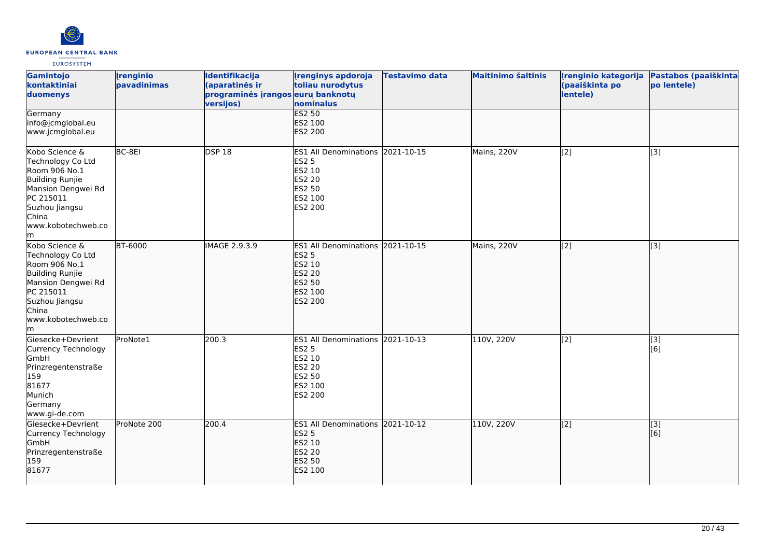

| Gamintojo<br>kontaktiniai<br>duomenys                                                                                                                             | <i><u><b><u>I</u>renginio</b></u></i><br>pavadinimas | Identifikacija<br>(aparatinės ir<br>programinės įrangos eurų banknotų<br>versijos) | <b>Irenginys apdoroja</b><br>toliau nurodytus<br>nominalus                                                         | <b>Testavimo data</b> | <b>Maitinimo šaltinis</b> | Irenginio kategorija<br>(paaiškinta po<br>lentele) | Pastabos (paaiškinta<br>po lentele) |
|-------------------------------------------------------------------------------------------------------------------------------------------------------------------|------------------------------------------------------|------------------------------------------------------------------------------------|--------------------------------------------------------------------------------------------------------------------|-----------------------|---------------------------|----------------------------------------------------|-------------------------------------|
| Germany<br>info@jcmglobal.eu<br>www.jcmglobal.eu                                                                                                                  |                                                      |                                                                                    | <b>ES2 50</b><br>ES2 100<br><b>ES2 200</b>                                                                         |                       |                           |                                                    |                                     |
| Kobo Science &<br>Technology Co Ltd<br>Room 906 No.1<br>Building Runjie<br>Mansion Dengwei Rd<br>PC 215011<br>Suzhou Jiangsu<br>China<br>www.kobotechweb.co<br>lm | BC-8EI                                               | DSP 18                                                                             | ES1 All Denominations 2021-10-15<br><b>ES2 5</b><br>ES2 10<br><b>ES2 20</b><br>ES2 50<br>ES2 100<br>ES2 200        |                       | Mains, 220V               | $\overline{[2]}$                                   | $\overline{[3]}$                    |
| Kobo Science &<br>Technology Co Ltd<br>Room 906 No.1<br>Building Runjie<br>Mansion Dengwei Rd<br>PC 215011<br>Suzhou Jiangsu<br>China<br>www.kobotechweb.co<br>m  | <b>BT-6000</b>                                       | IMAGE 2.9.3.9                                                                      | ES1 All Denominations 2021-10-15<br><b>ES2 5</b><br>ES2 10<br><b>ES2 20</b><br><b>ES2 50</b><br>ES2 100<br>ES2 200 |                       | Mains, 220V               | $\overline{[2]}$                                   | $\overline{[3]}$                    |
| Giesecke+Devrient<br>Currency Technology<br>GmbH<br>Prinzregentenstraße<br>159<br>81677<br>Munich<br>Germany<br>www.gi-de.com                                     | ProNote1                                             | 200.3                                                                              | ES1 All Denominations 2021-10-13<br><b>ES2 5</b><br>ES2 10<br><b>ES2 20</b><br><b>ES2 50</b><br>ES2 100<br>ES2 200 |                       | 110V, 220V                | $\overline{[2]}$                                   | [3]<br>[6]                          |
| lGiesecke+Devrient<br>Currency Technology<br>GmbH<br>Prinzregentenstraße<br>159<br>81677                                                                          | ProNote 200                                          | 200.4                                                                              | ES1 All Denominations 2021-10-12<br><b>ES2 5</b><br>ES2 10<br><b>ES2 20</b><br><b>ES2 50</b><br>ES2 100            |                       | 110V, 220V                | $\left[$ [2]                                       | $\overline{[}3]$<br>[6]             |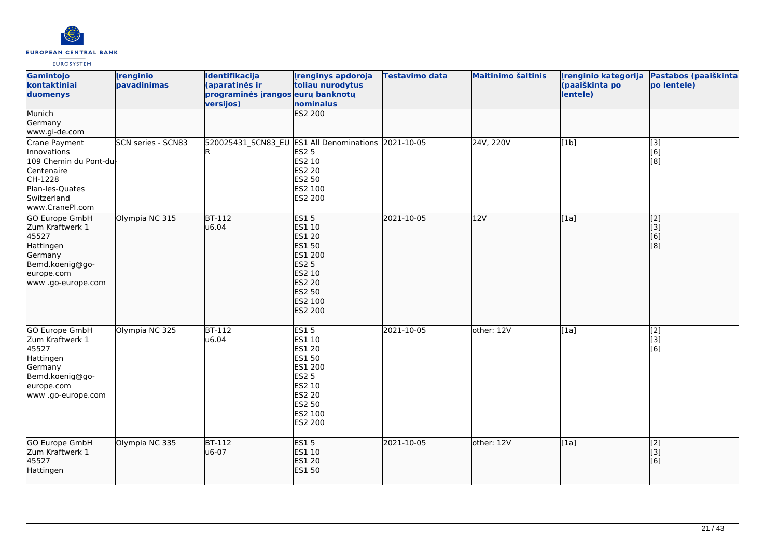

| Gamintojo<br>kontaktiniai<br>duomenys<br>Munich                                                                                     | <b>Irenginio</b><br>pavadinimas | Identifikacija<br>(aparatinės ir<br>programinės įrangos eurų banknotų<br>versijos) | <b>Irenginys apdoroja</b><br>toliau nurodytus<br>nominalus<br><b>ES2 200</b>                                                                                       | <b>Testavimo data</b> | <b>Maitinimo šaltinis</b> | Irenginio kategorija<br>(paaiškinta po<br>lentele) | Pastabos (paaiškinta<br>po lentele)       |
|-------------------------------------------------------------------------------------------------------------------------------------|---------------------------------|------------------------------------------------------------------------------------|--------------------------------------------------------------------------------------------------------------------------------------------------------------------|-----------------------|---------------------------|----------------------------------------------------|-------------------------------------------|
| Germany<br>www.gi-de.com                                                                                                            |                                 |                                                                                    |                                                                                                                                                                    |                       |                           |                                                    |                                           |
| Crane Payment<br>Innovations<br>109 Chemin du Pont-du<br>Centenaire<br>CH-1228<br>Plan-les-Quates<br>Switzerland<br>www.CranePI.com | <b>SCN series - SCN83</b>       | 520025431_SCN83_EU ES1 All Denominations                                           | <b>ES2 5</b><br>ES2 10<br>ES2 20<br>ES2 50<br>ES2 100<br>ES2 200                                                                                                   | 2021-10-05            | 24V, 220V                 | [1b]                                               | $\overline{[3]}$<br>[6]<br>[8]            |
| GO Europe GmbH<br>Zum Kraftwerk 1<br>45527<br>Hattingen<br>Germany<br>Bemd.koenig@go-<br>europe.com<br>www.go-europe.com            | Olympia NC 315                  | <b>BT-112</b><br>u6.04                                                             | <b>ES15</b><br>ES1 10<br><b>ES1 20</b><br><b>ES1 50</b><br>ES1 200<br><b>ES2 5</b><br><b>ES2 10</b><br><b>ES2 20</b><br><b>ES2 50</b><br>ES2 100<br><b>ES2 200</b> | 2021-10-05            | 12V                       | [1a]                                               | [2]<br>[3]<br>[6]<br>[8]                  |
| <b>GO Europe GmbH</b><br>Zum Kraftwerk 1<br>45527<br>Hattingen<br>Germany<br>Bemd.koenig@go-<br>europe.com<br>www.go-europe.com     | Olympia NC 325                  | $BT-112$<br>u6.04                                                                  | <b>ES15</b><br>ES1 10<br>ES1 20<br>ES1 50<br>ES1 200<br><b>ES2 5</b><br>ES2 10<br>ES2 20<br>ES2 50<br>ES2 100<br>ES2 200                                           | 2021-10-05            | other: 12V                | [1a]                                               | $\overline{[2]}$<br>[3]<br>[6]            |
| GO Europe GmbH<br>Zum Kraftwerk 1<br>45527<br>Hattingen                                                                             | Olympia NC 335                  | <b>BT-112</b><br>u6-07                                                             | <b>ES15</b><br>ES1 10<br><b>ES1 20</b><br><b>ES1 50</b>                                                                                                            | 2021-10-05            | other: 12V                | [1a]                                               | [2]<br>$\overline{[}3\overline{]}$<br>[6] |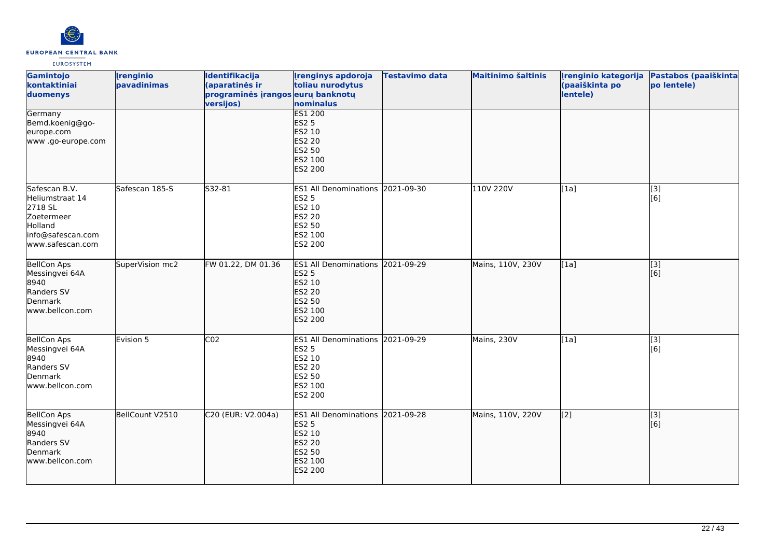

| Gamintojo<br>kontaktiniai<br>duomenys                                                                         | <b>Irenginio</b><br>pavadinimas | Identifikacija<br>(aparatinės ir<br>programinės įrangos eurų banknotų<br>versijos) | <b>Irenginys apdoroja</b><br>toliau nurodytus<br>nominalus                                                         | Testavimo data | <b>Maitinimo šaltinis</b> | Irenginio kategorija<br>(paaiškinta po<br>lentele) | Pastabos (paaiškinta<br>po lentele) |
|---------------------------------------------------------------------------------------------------------------|---------------------------------|------------------------------------------------------------------------------------|--------------------------------------------------------------------------------------------------------------------|----------------|---------------------------|----------------------------------------------------|-------------------------------------|
| Germany<br>Bemd.koenig@go-<br>europe.com<br>www.go-europe.com                                                 |                                 |                                                                                    | <b>ES1 200</b><br><b>ES2 5</b><br>ES2 10<br><b>ES2 20</b><br><b>ES2 50</b><br>ES2 100<br>ES2 200                   |                |                           |                                                    |                                     |
| Safescan B.V.<br>Heliumstraat 14<br>2718 SL<br>Zoetermeer<br>Holland<br>info@safescan.com<br>www.safescan.com | Safescan 185-S                  | S32-81                                                                             | ES1 All Denominations 2021-09-30<br><b>ES2 5</b><br>ES2 10<br><b>ES2 20</b><br>ES2 50<br>ES2 100<br>ES2 200        |                | 110V 220V                 | [1a]                                               | $\overline{[3]}$<br>[6]             |
| <b>BellCon Aps</b><br>Messingvei 64A<br>8940<br>Randers SV<br>Denmark<br>www.bellcon.com                      | SuperVision mc2                 | FW 01.22, DM 01.36                                                                 | ES1 All Denominations 2021-09-29<br><b>ES2 5</b><br>ES2 10<br><b>ES2 20</b><br><b>ES2 50</b><br>ES2 100<br>ES2 200 |                | Mains, 110V, 230V         | [1a]                                               | $\overline{[3]}$<br>[6]             |
| <b>BellCon Aps</b><br>Messingvei 64A<br>8940<br>Randers SV<br>Denmark<br>www.bellcon.com                      | Evision 5                       | CO <sub>2</sub>                                                                    | ES1 All Denominations 2021-09-29<br><b>ES2 5</b><br>ES2 10<br>ES2 20<br>ES2 50<br>ES2 100<br>ES2 200               |                | Mains, 230V               | [1a]                                               | [3]<br>[6]                          |
| <b>BellCon Aps</b><br>Messingvei 64A<br>8940<br>Randers SV<br>Denmark<br>www.bellcon.com                      | BellCount V2510                 | C20 (EUR: V2.004a)                                                                 | <b>ES1 All Denominations</b><br><b>ES2 5</b><br>ES2 10<br><b>ES2 20</b><br><b>ES2 50</b><br>ES2 100<br>ES2 200     | 2021-09-28     | Mains, 110V, 220V         | $\left[ \begin{matrix} 2 \end{matrix} \right]$     | [3]<br>[6]                          |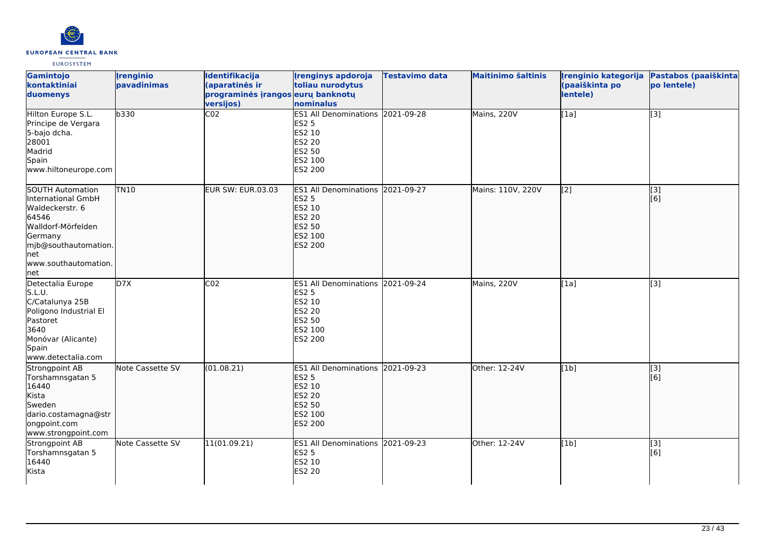

| Gamintojo<br>kontaktiniai<br>duomenys                                                                                                                               | <i><u><b><u>I</u>renginio</b></u></i><br>pavadinimas | Identifikacija<br>(aparatinės ir<br>programinės įrangos eurų banknotų<br>versijos) | <b>Irenginys apdoroja</b><br>toliau nurodytus<br>nominalus                                                         | Testavimo data | <b>Maitinimo šaltinis</b> | Irenginio kategorija<br>(paaiškinta po<br>lentele) | Pastabos (paaiškinta<br>po lentele) |
|---------------------------------------------------------------------------------------------------------------------------------------------------------------------|------------------------------------------------------|------------------------------------------------------------------------------------|--------------------------------------------------------------------------------------------------------------------|----------------|---------------------------|----------------------------------------------------|-------------------------------------|
| Hilton Europe S.L.<br>Principe de Vergara<br>5-bajo dcha.<br>28001<br>Madrid<br>Spain<br>www.hiltoneurope.com                                                       | b330                                                 | CO <sub>2</sub>                                                                    | ES1 All Denominations 2021-09-28<br><b>ES2 5</b><br>ES2 10<br>ES2 20<br>ES2 50<br>ES2 100<br>ES2 200               |                | Mains, 220V               | [1a]                                               | $\overline{[}3]$                    |
| SOUTH Automation<br>International GmbH<br>Waldeckerstr. 6<br>64546<br>Walldorf-Mörfelden<br>Germany<br>mjb@southautomation.<br>lnet<br>www.southautomation.<br> net | <b>TN10</b>                                          | EUR SW: EUR.03.03                                                                  | ES1 All Denominations 2021-09-27<br><b>ES2 5</b><br>ES2 10<br><b>ES2 20</b><br><b>ES2 50</b><br>ES2 100<br>ES2 200 |                | Mains: 110V, 220V         | $\left[ \begin{matrix} 2 \end{matrix} \right]$     | [[3]<br>[6]                         |
| Detectalia Europe<br>S.L.U.<br>C/Catalunya 25B<br>Poligono Industrial El<br>Pastoret<br>3640<br>Monóvar (Alicante)<br>Spain<br>www.detectalia.com                   | D7X                                                  | CO <sub>2</sub>                                                                    | ES1 All Denominations 2021-09-24<br><b>ES2 5</b><br>ES2 10<br>ES2 20<br>ES2 50<br>ES2 100<br>ES2 200               |                | Mains, 220V               | [1a]                                               | [3]                                 |
| Strongpoint AB<br>Torshamnsgatan 5<br>16440<br>Kista<br>Sweden<br>dario.costamagna@str<br>ongpoint.com<br>www.strongpoint.com                                       | Note Cassette SV                                     | (01.08.21)                                                                         | ES1 All Denominations 2021-09-23<br><b>ES2 5</b><br>ES2 10<br><b>ES2 20</b><br>ES2 50<br>ES2 100<br>ES2 200        |                | Other: 12-24V             | [1b]                                               | $\overline{[3]}$<br>[6]             |
| Strongpoint AB<br>Torshamnsgatan 5<br>16440<br>Kista                                                                                                                | Note Cassette SV                                     | 11(01.09.21)                                                                       | ES1 All Denominations 2021-09-23<br>ES2 5<br>ES2 10<br>ES2 20                                                      |                | Other: 12-24V             | [1b]                                               | [3]<br>[6]                          |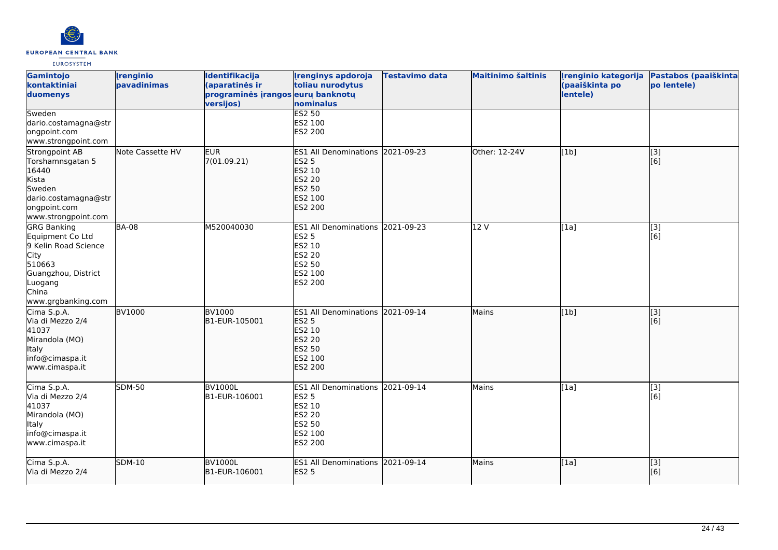

| Gamintojo<br>kontaktiniai<br>duomenys<br>Sweden                                                                                                          | <i><u><b><u>I</u>renginio</b></u></i><br>pavadinimas | Identifikacija<br>(aparatinės ir<br>programinės įrangos eurų banknotų<br>versijos) | <b>Irenginys apdoroja</b><br>toliau nurodytus<br>nominalus<br><b>ES2 50</b>                                               | Testavimo data | <b>Maitinimo šaltinis</b> | Irenginio kategorija<br>(paaiškinta po<br>lentele) | Pastabos (paaiškinta<br>po lentele) |
|----------------------------------------------------------------------------------------------------------------------------------------------------------|------------------------------------------------------|------------------------------------------------------------------------------------|---------------------------------------------------------------------------------------------------------------------------|----------------|---------------------------|----------------------------------------------------|-------------------------------------|
| dario.costamagna@str<br>ongpoint.com<br>www.strongpoint.com                                                                                              |                                                      |                                                                                    | ES2 100<br>ES2 200                                                                                                        |                |                           |                                                    |                                     |
| Strongpoint AB<br>Torshamnsgatan 5<br>16440<br>Kista<br>Sweden<br>dario.costamagna@str<br>ongpoint.com<br>www.strongpoint.com                            | Note Cassette HV                                     | <b>EUR</b><br>7(01.09.21)                                                          | ES1 All Denominations 2021-09-23<br><b>ES2 5</b><br>ES2 10<br><b>ES2 20</b><br><b>ES2 50</b><br>ES2 100<br><b>ES2 200</b> |                | Other: 12-24V             | [1b]                                               | [3]<br>[6]                          |
| <b>GRG Banking</b><br>Equipment Co Ltd<br>9 Kelin Road Science<br><b>City</b><br>510663<br>Guangzhou, District<br>Luogang<br>China<br>www.grgbanking.com | <b>BA-08</b>                                         | M520040030                                                                         | <b>ES1 All Denominations</b><br><b>ES2 5</b><br>ES2 10<br>ES2 20<br>ES2 50<br>ES2 100<br>ES2 200                          | 2021-09-23     | 12 V                      | [1a]                                               | [3]<br>[6]                          |
| Cima S.p.A.<br>Via di Mezzo 2/4<br>41037<br>Mirandola (MO)<br>Italy<br>info@cimaspa.it<br>www.cimaspa.it                                                 | <b>BV1000</b>                                        | <b>BV1000</b><br>B1-EUR-105001                                                     | ES1 All Denominations 2021-09-14<br><b>ES2 5</b><br>ES2 10<br><b>ES2 20</b><br><b>ES2 50</b><br>ES2 100<br><b>ES2 200</b> |                | Mains                     | [1b]                                               | [3]<br>[6]                          |
| Cima S.p.A.<br>Via di Mezzo 2/4<br>41037<br>Mirandola (MO)<br><b>Italy</b><br>info@cimaspa.it<br>www.cimaspa.it                                          | <b>SDM-50</b>                                        | BV1000L<br>B1-EUR-106001                                                           | ES1 All Denominations 2021-09-14<br><b>ES2 5</b><br>ES2 10<br><b>ES2 20</b><br>ES2 50<br>ES2 100<br>ES2 200               |                | Mains                     | [1a]                                               | [3]<br>[6]                          |
| Cima S.p.A.<br>Via di Mezzo 2/4                                                                                                                          | <b>SDM-10</b>                                        | <b>BV1000L</b><br>B1-EUR-106001                                                    | <b>ES1 All Denominations</b><br><b>ES2 5</b>                                                                              | 2021-09-14     | Mains                     | [1a]                                               | $\overline{[}3]$<br>[6]             |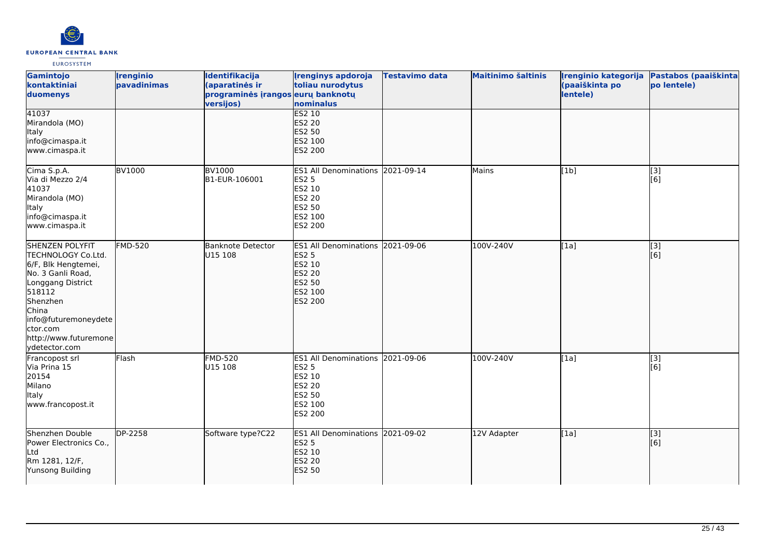

| Gamintojo<br>kontaktiniai<br>duomenys                                                                                                                                                                                      | <b>Irenginio</b><br>pavadinimas | Identifikacija<br>(aparatinės ir<br>programinės įrangos eurų banknotų<br>versijos) | <b>Irenginys apdoroja</b><br>toliau nurodytus<br>nominalus                                                         | <b>Testavimo data</b> | <b>Maitinimo šaltinis</b> | Irenginio kategorija<br>(paaiškinta po<br>lentele) | Pastabos (paaiškinta<br>po lentele) |
|----------------------------------------------------------------------------------------------------------------------------------------------------------------------------------------------------------------------------|---------------------------------|------------------------------------------------------------------------------------|--------------------------------------------------------------------------------------------------------------------|-----------------------|---------------------------|----------------------------------------------------|-------------------------------------|
| 41037<br>Mirandola (MO)<br>Italy<br>info@cimaspa.it<br>www.cimaspa.it                                                                                                                                                      |                                 |                                                                                    | <b>ES2 10</b><br><b>ES2 20</b><br>ES2 50<br>ES2 100<br>ES2 200                                                     |                       |                           |                                                    |                                     |
| Cima S.p.A.<br>Via di Mezzo 2/4<br>41037<br>Mirandola (MO)<br>Italy<br>info@cimaspa.it<br>www.cimaspa.it                                                                                                                   | <b>BV1000</b>                   | <b>BV1000</b><br>B1-EUR-106001                                                     | ES1 All Denominations 2021-09-14<br><b>ES2 5</b><br>ES2 10<br>ES2 20<br>ES2 50<br>ES2 100<br>ES2 200               |                       | Mains                     | [1b]                                               | [3]<br>[6]                          |
| <b>SHENZEN POLYFIT</b><br>TECHNOLOGY Co.Ltd.<br>6/F, Blk Hengtemei,<br>No. 3 Ganli Road,<br>Longgang District<br>518112<br>Shenzhen<br>China<br>info@futuremoneydete<br>ctor.com<br>http://www.futuremone<br>ydetector.com | <b>FMD-520</b>                  | <b>Banknote Detector</b><br>U15 108                                                | ES1 All Denominations 2021-09-06<br><b>ES2 5</b><br>ES2 10<br><b>ES2 20</b><br><b>ES2 50</b><br>ES2 100<br>ES2 200 |                       | 100V-240V                 | [1a]                                               | [3]<br>[6]                          |
| Francopost srl<br>Via Prina 15<br>20154<br>Milano<br>Italy<br>www.francopost.it                                                                                                                                            | Flash                           | <b>FMD-520</b><br>U15 108                                                          | ES1 All Denominations 2021-09-06<br>ES2 5<br>ES2 10<br>ES2 20<br>ES2 50<br>ES2 100<br>ES2 200                      |                       | 100V-240V                 | [1a]                                               | [3]<br>[6]                          |
| Shenzhen Double<br>Power Electronics Co.,<br>Ltd<br>Rm 1281, 12/F,<br>Yunsong Building                                                                                                                                     | DP-2258                         | Software type?C22                                                                  | ES1 All Denominations 2021-09-02<br><b>ES2 5</b><br>ES2 10<br><b>ES2 20</b><br>ES2 50                              |                       | 12V Adapter               | [1a]                                               | [3]<br>[6]                          |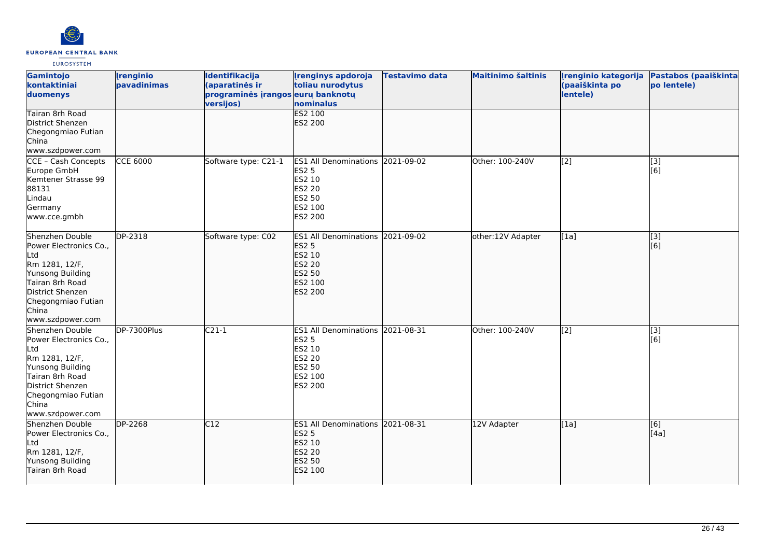

| Gamintojo<br>kontaktiniai<br>duomenys                                                                                                                                            | <i><u><b><u>I</u>renginio</b></u></i><br>pavadinimas | Identifikacija<br>(aparatinės ir<br>programinės įrangos eurų banknotų<br>versijos) | <b>Irenginys apdoroja</b><br>toliau nurodytus<br>nominalus                                                                | <b>Testavimo data</b> | <b>Maitinimo šaltinis</b> | Irenginio kategorija<br>(paaiškinta po<br>lentele) | Pastabos (paaiškinta<br>po lentele) |
|----------------------------------------------------------------------------------------------------------------------------------------------------------------------------------|------------------------------------------------------|------------------------------------------------------------------------------------|---------------------------------------------------------------------------------------------------------------------------|-----------------------|---------------------------|----------------------------------------------------|-------------------------------------|
| Tairan 8rh Road<br>District Shenzen<br>Chegongmiao Futian<br>China<br>www.szdpower.com                                                                                           |                                                      |                                                                                    | <b>ES2 100</b><br><b>ES2 200</b>                                                                                          |                       |                           |                                                    |                                     |
| CCE - Cash Concepts<br>Europe GmbH<br>Kemtener Strasse 99<br>88131<br>Lindau<br>Germany<br>www.cce.gmbh                                                                          | <b>CCE 6000</b>                                      | Software type: C21-1                                                               | ES1 All Denominations 2021-09-02<br><b>ES2 5</b><br>ES2 10<br><b>ES2 20</b><br><b>ES2 50</b><br>ES2 100<br><b>ES2 200</b> |                       | Other: 100-240V           | [2]                                                | [3]<br>[6]                          |
| Shenzhen Double<br>Power Electronics Co.,<br>Ltd<br>Rm 1281, 12/F,<br>Yunsong Building<br>Tairan 8rh Road<br>District Shenzen<br>Chegongmiao Futian<br>China<br>www.szdpower.com | $\overline{DP-2318}$                                 | Software type: C02                                                                 | ES1 All Denominations 2021-09-02<br><b>ES2 5</b><br>ES2 10<br><b>ES2 20</b><br><b>ES2 50</b><br>ES2 100<br><b>ES2 200</b> |                       | other:12V Adapter         | [1a]                                               | [3]<br>[[6]                         |
| Shenzhen Double<br>Power Electronics Co.,<br>Ltd<br>Rm 1281, 12/F,<br>Yunsong Building<br>Tairan 8rh Road<br>District Shenzen<br>Chegongmiao Futian<br>China<br>www.szdpower.com | DP-7300Plus                                          | $C21-1$                                                                            | ES1 All Denominations 2021-08-31<br><b>ES2 5</b><br>ES2 10<br><b>ES2 20</b><br><b>ES2 50</b><br>ES2 100<br><b>ES2 200</b> |                       | Other: 100-240V           | $\overline{[2]}$                                   | $\overline{[}3]$<br>[6]             |
| Shenzhen Double<br>Power Electronics Co.,<br>Ltd<br>Rm 1281, 12/F,<br>Yunsong Building<br>Tairan 8rh Road                                                                        | DP-2268                                              | C12                                                                                | ES1 All Denominations 2021-08-31<br><b>ES2 5</b><br>ES2 10<br><b>ES2 20</b><br><b>ES2 50</b><br>ES2 100                   |                       | 12V Adapter               | [1a]                                               | [[6]<br>[4a]                        |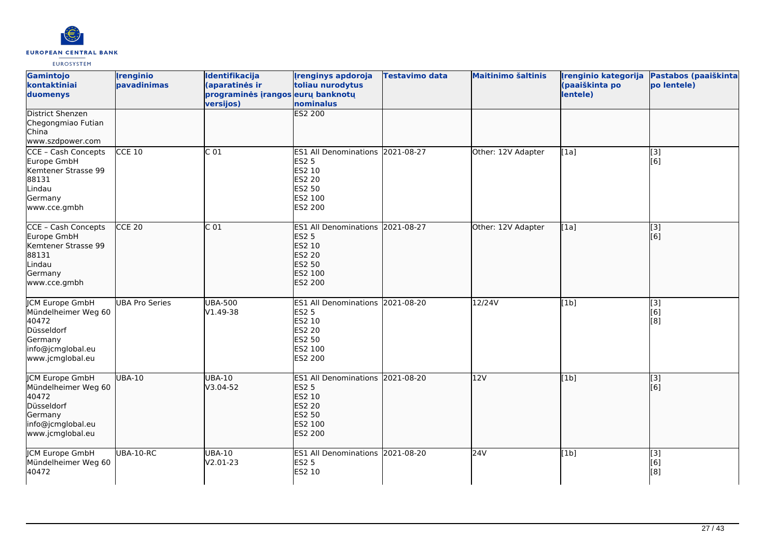

| <b>Gamintojo</b><br>kontaktiniai<br>duomenys                                                                      | <b>Irenginio</b><br>pavadinimas | Identifikacija<br>(aparatinės ir<br>programinės įrangos eurų banknotų<br>versijos) | <b>Irenginys apdoroja</b><br>toliau nurodytus<br>nominalus                                                                   | Testavimo data | <b>Maitinimo šaltinis</b> | Irenginio kategorija<br>(paaiškinta po<br>lentele) | Pastabos (paaiškinta<br>po lentele) |
|-------------------------------------------------------------------------------------------------------------------|---------------------------------|------------------------------------------------------------------------------------|------------------------------------------------------------------------------------------------------------------------------|----------------|---------------------------|----------------------------------------------------|-------------------------------------|
| <b>District Shenzen</b><br>Chegongmiao Futian<br>China<br>www.szdpower.com                                        |                                 |                                                                                    | <b>ES2 200</b>                                                                                                               |                |                           |                                                    |                                     |
| CCE - Cash Concepts<br>Europe GmbH<br>Kemtener Strasse 99<br>88131<br>Lindau<br>Germany<br>www.cce.gmbh           | <b>CCE 10</b>                   | C <sub>01</sub>                                                                    | ES1 All Denominations 2021-08-27<br><b>ES2 5</b><br>ES2 10<br>ES2 20<br>ES2 50<br>ES2 100<br>ES2 200                         |                | Other: 12V Adapter        | [1a]                                               | [3]<br>[6]                          |
| CCE - Cash Concepts<br>Europe GmbH<br>Kemtener Strasse 99<br>88131<br>Lindau<br>Germany<br>www.cce.gmbh           | <b>CCE 20</b>                   | C <sub>01</sub>                                                                    | <b>ES1 All Denominations</b><br><b>ES2 5</b><br><b>ES2 10</b><br><b>ES2 20</b><br><b>ES2 50</b><br>ES2 100<br><b>ES2 200</b> | 2021-08-27     | Other: 12V Adapter        | [1a]                                               | [3]<br>[6]                          |
| JCM Europe GmbH<br>Mündelheimer Weg 60<br>40472<br>Düsseldorf<br>Germany<br>info@jcmglobal.eu<br>www.jcmglobal.eu | <b>UBA Pro Series</b>           | <b>UBA-500</b><br>V1.49-38                                                         | ES1 All Denominations 2021-08-20<br>ES2 5<br>ES2 10<br>ES2 20<br>ES2 50<br>ES2 100<br>ES2 200                                |                | 12/24V                    | [1b]                                               | $\overline{[3]}$<br>[6]<br>[8]      |
| JCM Europe GmbH<br>Mündelheimer Weg 60<br>40472<br>Düsseldorf<br>Germany<br>info@jcmglobal.eu<br>www.jcmglobal.eu | <b>UBA-10</b>                   | <b>UBA-10</b><br>V3.04-52                                                          | <b>ES1 All Denominations</b><br><b>ES2 5</b><br><b>ES2 10</b><br><b>ES2 20</b><br><b>ES2 50</b><br>ES2 100<br><b>ES2 200</b> | 2021-08-20     | 12V                       | [1b]                                               | [3]<br>[6]                          |
| <b>JCM Europe GmbH</b><br>Mündelheimer Weg 60<br>40472                                                            | UBA-10-RC                       | <b>UBA-10</b><br>V2.01-23                                                          | <b>ES1 All Denominations</b><br><b>ES2 5</b><br>ES2 10                                                                       | 2021-08-20     | 24V                       | [1b]                                               | [3]<br>[6]<br>[8]                   |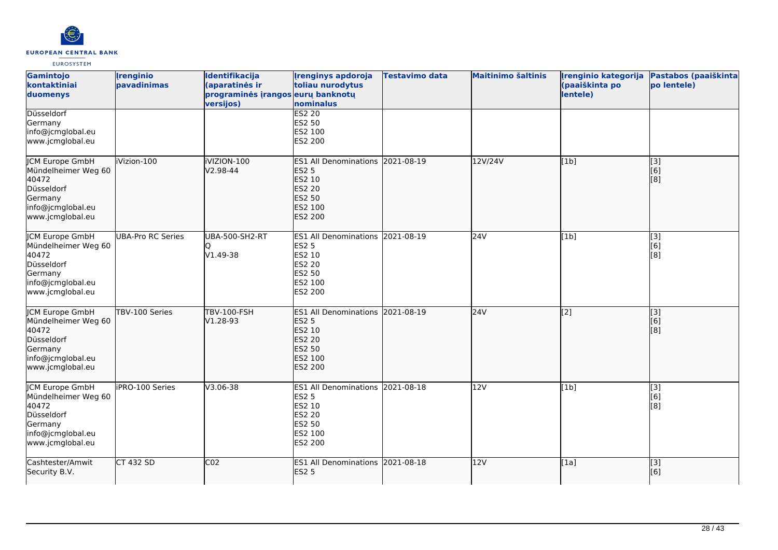

| Gamintojo<br>kontaktiniai<br>duomenys                                                                                    | <b>Irenginio</b><br>pavadinimas | Identifikacija<br>(aparatinės ir<br>programinės įrangos eurų banknotų<br>versijos) | <b>Irenginys apdoroja</b><br>toliau nurodytus<br>nominalus                                                            | <b>Testavimo data</b> | <b>Maitinimo šaltinis</b> | Irenginio kategorija<br>(paaiškinta po<br>lentele) | Pastabos (paaiškinta<br>po lentele) |
|--------------------------------------------------------------------------------------------------------------------------|---------------------------------|------------------------------------------------------------------------------------|-----------------------------------------------------------------------------------------------------------------------|-----------------------|---------------------------|----------------------------------------------------|-------------------------------------|
| Düsseldorf<br>Germany<br>info@jcmglobal.eu<br>www.jcmglobal.eu                                                           |                                 |                                                                                    | <b>ES2 20</b><br>ES2 50<br>ES2 100<br>ES2 200                                                                         |                       |                           |                                                    |                                     |
| JCM Europe GmbH<br>Mündelheimer Weg 60<br>40472<br>Düsseldorf<br>Germany<br>info@jcmglobal.eu<br>www.jcmglobal.eu        | iVizion-100                     | iVIZION-100<br>V2.98-44                                                            | <b>ES1 All Denominations</b><br><b>ES2 5</b><br>ES2 10<br><b>ES2 20</b><br><b>ES2 50</b><br>ES2 100<br><b>ES2 200</b> | 2021-08-19            | 12V/24V                   | [1b]                                               | [3]<br>[6]<br>[8]                   |
| <b>JCM Europe GmbH</b><br>Mündelheimer Weg 60<br>40472<br>Düsseldorf<br>Germany<br>info@jcmglobal.eu<br>www.jcmglobal.eu | <b>UBA-Pro RC Series</b>        | <b>UBA-500-SH2-RT</b><br>V1.49-38                                                  | <b>ES1 All Denominations</b><br><b>ES2 5</b><br>ES2 10<br>ES2 20<br>ES2 50<br>ES2 100<br>ES2 200                      | 2021-08-19            | 24V                       | [1b]                                               | $\overline{[}3]$<br>[6]<br>[8]      |
| <b>JCM Europe GmbH</b><br>Mündelheimer Weg 60<br>40472<br>Düsseldorf<br>Germany<br>info@jcmglobal.eu<br>www.jcmglobal.eu | TBV-100 Series                  | <b>TBV-100-FSH</b><br>V1.28-93                                                     | ES1 All Denominations 2021-08-19<br><b>ES2 5</b><br>ES2 10<br><b>ES2 20</b><br><b>ES2 50</b><br>ES2 100<br>ES2 200    |                       | 24V                       | [2]                                                | [3]<br>[6]<br>[8]                   |
| <b>CM Europe GmbH</b><br>Mündelheimer Weg 60<br>40472<br>Düsseldorf<br>Germany<br>info@jcmglobal.eu<br>www.jcmglobal.eu  | iPRO-100 Series                 | V3.06-38                                                                           | <b>ES1 All Denominations</b><br><b>ES2 5</b><br>ES2 10<br><b>ES2 20</b><br>ES2 50<br>ES2 100<br>ES2 200               | 2021-08-18            | 12V                       | [1b]                                               | [3]<br>[6]<br>[8]                   |
| Cashtester/Amwit<br>Security B.V.                                                                                        | <b>CT 432 SD</b>                | CO <sub>2</sub>                                                                    | <b>ES1 All Denominations</b><br><b>ES2 5</b>                                                                          | 2021-08-18            | 12V                       | [1a]                                               | $\overline{[3]}$<br>[6]             |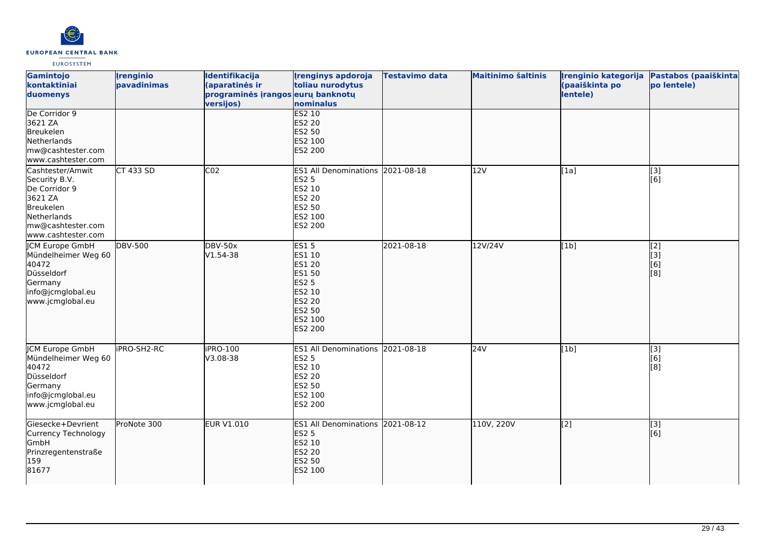

| Gamintojo<br>kontaktiniai<br>duomenys                                                                                                | <i><u><b><u>I</u>renginio</b></u></i><br>pavadinimas | Identifikacija<br>(aparatinės ir<br>programinės įrangos eurų banknotų<br>versijos) | <b>Irenginys apdoroja</b><br>toliau nurodytus<br>nominalus                                                                                              | <b>Testavimo data</b> | <b>Maitinimo šaltinis</b> | Irenginio kategorija<br>(paaiškinta po<br>lentele) | Pastabos (paaiškinta<br>po lentele) |
|--------------------------------------------------------------------------------------------------------------------------------------|------------------------------------------------------|------------------------------------------------------------------------------------|---------------------------------------------------------------------------------------------------------------------------------------------------------|-----------------------|---------------------------|----------------------------------------------------|-------------------------------------|
| De Corridor 9<br>3621 ZA<br>Breukelen<br>Netherlands<br>mw@cashtester.com<br>www.cashtester.com                                      |                                                      |                                                                                    | ES2 10<br><b>ES2 20</b><br><b>ES2 50</b><br>ES2 100<br><b>ES2 200</b>                                                                                   |                       |                           |                                                    |                                     |
| Cashtester/Amwit<br>Security B.V.<br>De Corridor 9<br>3621 ZA<br>Breukelen<br>Netherlands<br>mw@cashtester.com<br>www.cashtester.com | CT 433 SD                                            | CO <sub>2</sub>                                                                    | ES1 All Denominations 2021-08-18<br><b>ES2 5</b><br>ES2 10<br><b>ES2 20</b><br><b>ES2 50</b><br>ES2 100<br>ES2 200                                      |                       | 12V                       | [1a]                                               | $\overline{[3]}$<br>[6]             |
| <b>JCM Europe GmbH</b><br>Mündelheimer Weg 60<br>40472<br>Düsseldorf<br>Germany<br>info@jcmglobal.eu<br>www.jcmglobal.eu             | <b>DBV-500</b>                                       | <b>DBV-50x</b><br>V1.54-38                                                         | <b>ES15</b><br>ES1 10<br><b>ES1 20</b><br><b>ES1 50</b><br><b>ES2 5</b><br><b>ES2 10</b><br><b>ES2 20</b><br><b>ES2 50</b><br>ES2 100<br><b>ES2 200</b> | 2021-08-18            | 12V/24V                   | [1b]                                               | [2]<br>[[3]<br>[6]<br>[8]           |
| JCM Europe GmbH<br>Mündelheimer Weg 60<br>40472<br>Düsseldorf<br>Germany<br>info@jcmglobal.eu<br>www.jcmglobal.eu                    | <b>IPRO-SH2-RC</b>                                   | iPRO-100<br>V3.08-38                                                               | <b>ES1 All Denominations</b><br><b>ES2 5</b><br><b>ES2 10</b><br><b>ES2 20</b><br><b>ES2 50</b><br>ES2 100<br>ES2 200                                   | 2021-08-18            | 24V                       | [1b]                                               | [3]<br>[6]<br>[8]                   |
| Giesecke+Devrient<br>Currency Technology<br>GmbH<br>Prinzregentenstraße<br>159<br>81677                                              | ProNote 300                                          | <b>EUR V1.010</b>                                                                  | ES1 All Denominations 2021-08-12<br><b>ES2 5</b><br><b>ES2 10</b><br><b>ES2 20</b><br><b>ES2 50</b><br>ES2 100                                          |                       | 110V, 220V                | [2]                                                | $\overline{[3]}$<br>[6]             |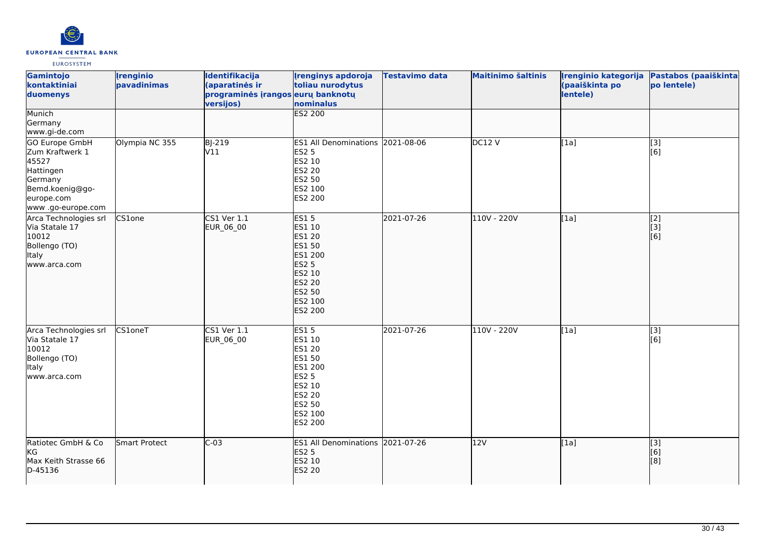

| Gamintojo<br>kontaktiniai<br>duomenys                                                                                    | <b>Irenginio</b><br>pavadinimas | Identifikacija<br>(aparatinės ir<br>programinės įrangos eurų banknotų<br>versijos) | <b>Irenginys apdoroja</b><br>toliau nurodytus<br>nominalus                                                                                    | <b>Testavimo data</b> | <b>Maitinimo šaltinis</b> | Irenginio kategorija<br>(paaiškinta po<br>lentele) | Pastabos (paaiškinta<br>po lentele)                    |
|--------------------------------------------------------------------------------------------------------------------------|---------------------------------|------------------------------------------------------------------------------------|-----------------------------------------------------------------------------------------------------------------------------------------------|-----------------------|---------------------------|----------------------------------------------------|--------------------------------------------------------|
| Munich<br>Germany<br>www.gi-de.com                                                                                       |                                 |                                                                                    | <b>ES2 200</b>                                                                                                                                |                       |                           |                                                    |                                                        |
| GO Europe GmbH<br>Zum Kraftwerk 1<br>45527<br>Hattingen<br>Germany<br>Bemd.koenig@go-<br>europe.com<br>www.go-europe.com | Olympia NC 355                  | <b>BJ-219</b><br>V11                                                               | ES1 All Denominations 2021-08-06<br><b>ES2 5</b><br>ES2 10<br>ES2 20<br>ES2 50<br>ES2 100<br>ES2 200                                          |                       | DC12V                     | [1a]                                               | [3]<br>[6]                                             |
| Arca Technologies srl<br>Via Statale 17<br>10012<br>Bollengo (TO)<br>Italy<br>www.arca.com                               | CS1one                          | $CS1$ Ver $1.1$<br>EUR_06_00                                                       | <b>ES15</b><br>ES1 10<br>ES1 20<br><b>ES1 50</b><br>ES1 200<br><b>ES2 5</b><br>ES2 10<br><b>ES2 20</b><br>ES2 50<br>ES2 100<br><b>ES2 200</b> | 2021-07-26            | 110V - 220V               | [1a]                                               | $\overline{[2]}$<br>[3]<br>$\overline{[}6\overline{)}$ |
| Arca Technologies srl<br>Via Statale 17<br>10012<br>Bollengo (TO)<br><b>Italy</b><br>lwww.arca.com                       | CS1oneT                         | <b>CS1 Ver 1.1</b><br>EUR_06_00                                                    | <b>ES15</b><br>ES1 10<br>ES1 20<br><b>ES1 50</b><br>ES1 200<br><b>ES2 5</b><br>ES2 10<br>ES2 20<br>ES2 50<br>ES2 100<br>ES2 200               | 2021-07-26            | 110V - 220V               | [1a]                                               | [3]<br>[6]                                             |
| Ratiotec GmbH & Co<br><b>KG</b><br>Max Keith Strasse 66<br>D-45136                                                       | <b>Smart Protect</b>            | $C-03$                                                                             | ES1 All Denominations 2021-07-26<br><b>ES2 5</b><br>ES2 10<br><b>ES2 20</b>                                                                   |                       | 12V                       | [1a]                                               | $\overline{[3]}$<br>$\overline{[}6\overline{)}$<br>[8] |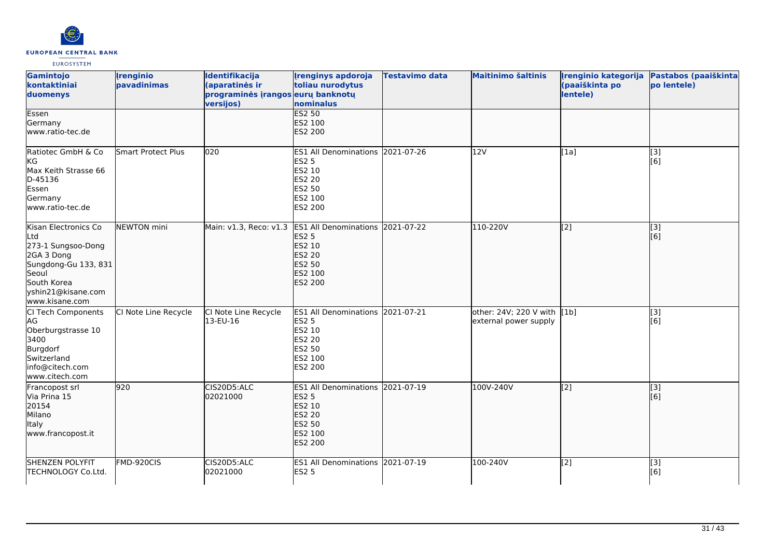

| Gamintojo<br>kontaktiniai<br>duomenys                                                                                                                   | <b>Irenginio</b><br>pavadinimas | Identifikacija<br>(aparatinės ir<br>programinės įrangos eurų banknotų<br>versijos) | <b>Irenginys apdoroja</b><br>toliau nurodytus<br>nominalus                                                                              | <b>Testavimo data</b> | <b>Maitinimo šaltinis</b>                            | Irenginio kategorija<br>(paaiškinta po<br>lentele) | Pastabos (paaiškinta<br>po lentele) |
|---------------------------------------------------------------------------------------------------------------------------------------------------------|---------------------------------|------------------------------------------------------------------------------------|-----------------------------------------------------------------------------------------------------------------------------------------|-----------------------|------------------------------------------------------|----------------------------------------------------|-------------------------------------|
| Essen<br>Germany<br>www.ratio-tec.de                                                                                                                    |                                 |                                                                                    | <b>ES2 50</b><br>ES2 100<br><b>ES2 200</b>                                                                                              |                       |                                                      |                                                    |                                     |
| Ratiotec GmbH & Co<br>KG<br>Max Keith Strasse 66<br>D-45136<br>Essen<br>Germany<br>www.ratio-tec.de                                                     | <b>Smart Protect Plus</b>       | 020                                                                                | ES1 All Denominations 2021-07-26<br><b>ES2 5</b><br><b>ES2 10</b><br><b>ES2 20</b><br><b>ES2 50</b><br>ES2 100<br><b>ES2 200</b>        |                       | 12V                                                  | [1a]                                               | [3]<br>[6]                          |
| Kisan Electronics Co<br>Ltd<br>273-1 Sungsoo-Dong<br>2GA 3 Dong<br>Sungdong-Gu 133, 831<br>Seoul<br>South Korea<br>yshin21@kisane.com<br>www.kisane.com | NEWTON mini                     | Main: v1.3, Reco: v1.3                                                             | <b>ES1 All Denominations</b><br><b>ES2 5</b><br>ES2 10<br><b>ES2 20</b><br><b>ES2 50</b><br>ES2 100<br><b>ES2 200</b>                   | 2021-07-22            | 110-220V                                             | $\sqrt{2}$                                         | [[3]<br>[[6]                        |
| CI Tech Components<br>AG<br>Oberburgstrasse 10<br>3400<br>Burgdorf<br>Switzerland<br>info@citech.com<br>www.citech.com                                  | CI Note Line Recycle            | CI Note Line Recycle<br>13-EU-16                                                   | <b>ES1 All Denominations 2021-07-21</b><br><b>ES2 5</b><br><b>ES2 10</b><br><b>ES2 20</b><br><b>ES2 50</b><br>ES2 100<br><b>ES2 200</b> |                       | other: 24V; 220 V with [1b]<br>external power supply |                                                    | $[3]$<br>[6]                        |
| Francopost srl<br>Via Prina 15<br>20154<br>Milano<br>Italy<br>www.francopost.it                                                                         | 920                             | CIS20D5:ALC<br>02021000                                                            | ES1 All Denominations 2021-07-19<br><b>ES2 5</b><br><b>ES2 10</b><br><b>ES2 20</b><br><b>ES2 50</b><br>ES2 100<br><b>ES2 200</b>        |                       | 100V-240V                                            | $\left[2\right]$                                   | [[3]<br>[[6]                        |
| <b>SHENZEN POLYFIT</b><br>TECHNOLOGY Co.Ltd.                                                                                                            | FMD-920CIS                      | CIS20D5:ALC<br>02021000                                                            | ES1 All Denominations 2021-07-19<br><b>ES2 5</b>                                                                                        |                       | 100-240V                                             | [2]                                                | $\overline{[3]}$<br>[6]             |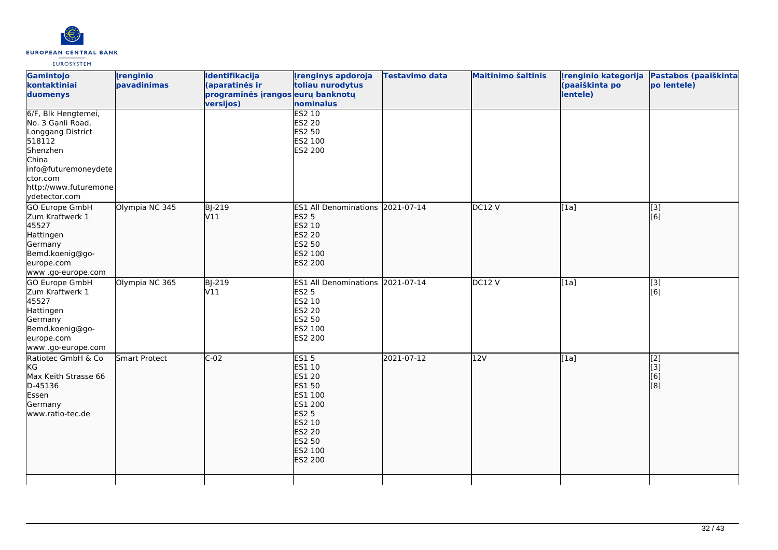

| Gamintojo<br>kontaktiniai<br>duomenys                                                                                                                                      | <i><u><b><u>I</u>renginio</b></u></i><br>pavadinimas | Identifikacija<br>(aparatinės ir<br>programinės įrangos eurų banknotų<br>versijos) | <b>Irenginys apdoroja</b><br>toliau nurodytus<br>nominalus                                                                                               | <b>Testavimo data</b> | <b>Maitinimo šaltinis</b> | (paaiškinta po<br>lentele) | Įrenginio kategorija Pastabos (paaiškinta<br>po lentele) |
|----------------------------------------------------------------------------------------------------------------------------------------------------------------------------|------------------------------------------------------|------------------------------------------------------------------------------------|----------------------------------------------------------------------------------------------------------------------------------------------------------|-----------------------|---------------------------|----------------------------|----------------------------------------------------------|
| 6/F, Blk Hengtemei,<br>No. 3 Ganli Road,<br>Longgang District<br>518112<br>Shenzhen<br>China<br>info@futuremoneydete<br>ctor.com<br>http://www.futuremone<br>ydetector.com |                                                      |                                                                                    | <b>ES2 10</b><br><b>ES2 20</b><br>ES2 50<br>ES2 100<br>ES2 200                                                                                           |                       |                           |                            |                                                          |
| <b>GO Europe GmbH</b><br>Zum Kraftwerk 1<br>45527<br>Hattingen<br>Germany<br>Bemd.koenig@go-<br>europe.com<br>www.go-europe.com                                            | Olympia NC 345                                       | BJ-219<br>V11                                                                      | ES1 All Denominations 2021-07-14<br><b>ES2 5</b><br>ES2 10<br><b>ES2 20</b><br><b>ES2 50</b><br>ES2 100<br><b>ES2 200</b>                                |                       | DC12V                     | [1a]                       | $\overline{[}$ [3]<br>[6]                                |
| <b>GO Europe GmbH</b><br>Zum Kraftwerk 1<br>45527<br>Hattingen<br>Germany<br>Bemd.koenig@go-<br>europe.com<br>www.go-europe.com                                            | Olympia NC 365                                       | BJ-219<br>V11                                                                      | ES1 All Denominations 2021-07-14<br>ES2 5<br>ES2 10<br><b>ES2 20</b><br>ES2 50<br>ES2 100<br>ES2 200                                                     |                       | DC12 V                    | [1a]                       | [3]<br>[6]                                               |
| Ratiotec GmbH & Co<br>kG<br>Max Keith Strasse 66<br>D-45136<br>Essen<br>Germany<br>www.ratio-tec.de                                                                        | Smart Protect                                        | $C-02$                                                                             | <b>ES15</b><br>ES1 10<br>ES1 20<br><b>ES1 50</b><br>ES1 100<br>ES1 200<br><b>ES2 5</b><br>ES2 10<br><b>ES2 20</b><br><b>ES2 50</b><br>ES2 100<br>ES2 200 | 2021-07-12            | 12V                       | [1a]                       | $\overline{[2]}$<br>[3]<br>[6]<br>[8]                    |
|                                                                                                                                                                            |                                                      |                                                                                    |                                                                                                                                                          |                       |                           |                            |                                                          |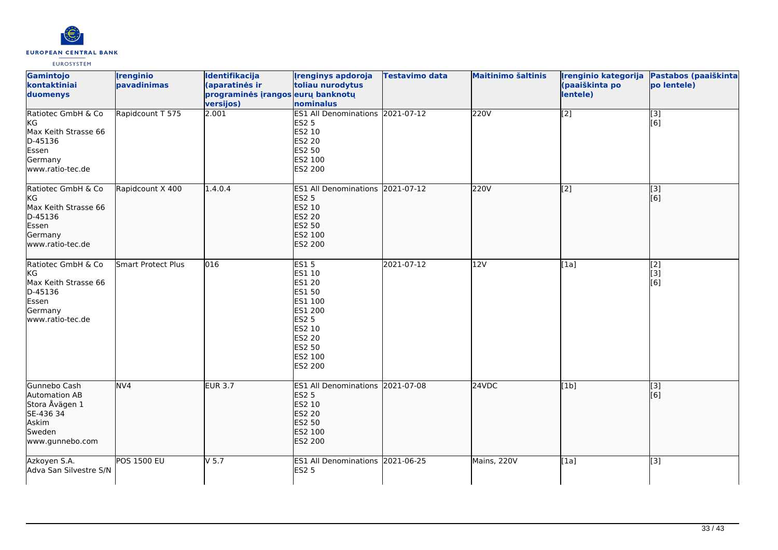

| Gamintojo<br>kontaktiniai<br>duomenys                                                               | <b>Irenginio</b><br>pavadinimas | Identifikacija<br>(aparatinės ir<br>programinės įrangos eurų banknotų<br>versijos) | <b>Irenginys apdoroja</b><br>toliau nurodytus<br>nominalus                                                                                               | <b>Testavimo data</b> | <b>Maitinimo šaltinis</b> | (paaiškinta po<br>lentele) | Irenginio kategorija Pastabos (paaiškinta<br>po lentele) |
|-----------------------------------------------------------------------------------------------------|---------------------------------|------------------------------------------------------------------------------------|----------------------------------------------------------------------------------------------------------------------------------------------------------|-----------------------|---------------------------|----------------------------|----------------------------------------------------------|
| Ratiotec GmbH & Co<br>KG<br>Max Keith Strasse 66<br>D-45136<br>Essen<br>Germany<br>www.ratio-tec.de | Rapidcount T 575                | 2.001                                                                              | ES1 All Denominations 2021-07-12<br><b>ES2 5</b><br>ES2 10<br><b>ES2 20</b><br>ES2 50<br>ES2 100<br>ES2 200                                              |                       | 220V                      | $\overline{[2]}$           | $\overline{[3]}$<br>[6]                                  |
| Ratiotec GmbH & Co<br>KG<br>Max Keith Strasse 66<br>D-45136<br>Essen<br>Germany<br>www.ratio-tec.de | Rapidcount X 400                | 1.4.0.4                                                                            | ES1 All Denominations 2021-07-12<br><b>ES2 5</b><br>ES2 10<br><b>ES2 20</b><br>ES2 50<br>ES2 100<br>ES2 200                                              |                       | 220V                      | [[2]                       | [[3]<br>[6]                                              |
| Ratiotec GmbH & Co<br>KG<br>Max Keith Strasse 66<br>D-45136<br>Essen<br>Germany<br>www.ratio-tec.de | Smart Protect Plus              | 016                                                                                | <b>ES15</b><br>ES1 10<br><b>ES1 20</b><br>ES1 50<br>ES1 100<br>ES1 200<br><b>ES2 5</b><br><b>ES2 10</b><br>ES2 20<br><b>ES2 50</b><br>ES2 100<br>ES2 200 | 2021-07-12            | 12V                       | [1a]                       | [2]<br>[3]<br>[6]                                        |
| Gunnebo Cash<br>Automation AB<br>Stora Åvägen 1<br>SE-436 34<br>Askim<br>Sweden<br>www.gunnebo.com  | NV4                             | <b>EUR 3.7</b>                                                                     | ES1 All Denominations 2021-07-08<br><b>ES2 5</b><br>ES2 10<br><b>ES2 20</b><br>ES2 50<br>ES2 100<br>ES2 200                                              |                       | 24VDC                     | [1b]                       | $\overline{[3]}$<br>[6]                                  |
| Azkoyen S.A.<br>Adva San Silvestre S/N                                                              | <b>POS 1500 EU</b>              | $V$ 5.7                                                                            | ES1 All Denominations 2021-06-25<br><b>ES2 5</b>                                                                                                         |                       | Mains, 220V               | [1a]                       | [3]                                                      |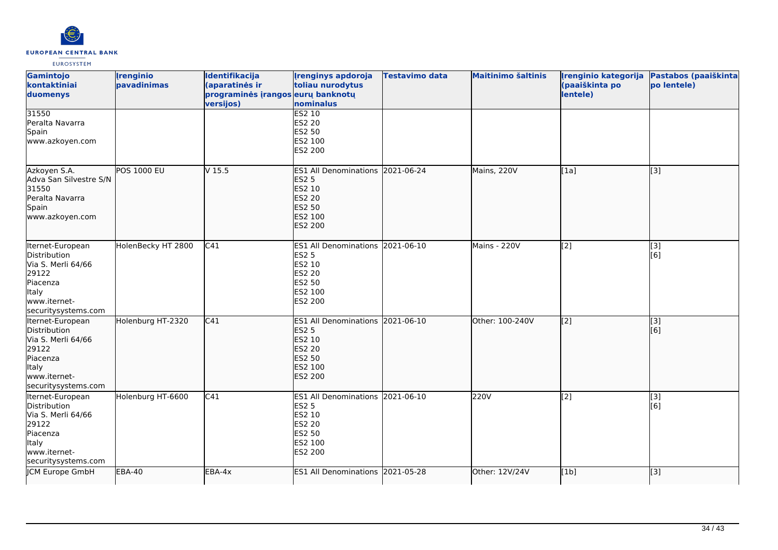

| Gamintojo<br>kontaktiniai<br>duomenys                                                                                              | <b>Irenginio</b><br>pavadinimas | Identifikacija<br>(aparatinės ir<br>programinės įrangos eurų banknotų<br>versijos) | <b>Irenginys apdoroja</b><br>toliau nurodytus<br>nominalus                                                         | <b>Testavimo data</b> | <b>Maitinimo šaltinis</b> | Irenginio kategorija<br>(paaiškinta po<br>lentele) | Pastabos (paaiškinta<br>po lentele) |
|------------------------------------------------------------------------------------------------------------------------------------|---------------------------------|------------------------------------------------------------------------------------|--------------------------------------------------------------------------------------------------------------------|-----------------------|---------------------------|----------------------------------------------------|-------------------------------------|
| 31550<br>Peralta Navarra<br>Spain<br>www.azkoyen.com                                                                               |                                 |                                                                                    | <b>ES2 10</b><br>ES2 20<br>ES2 50<br>ES2 100<br>ES2 200                                                            |                       |                           |                                                    |                                     |
| Azkoyen S.A.<br>Adva San Silvestre S/N<br>31550<br>Peralta Navarra<br>Spain<br>www.azkoyen.com                                     | <b>POS 1000 EU</b>              | V <sub>15.5</sub>                                                                  | ES1 All Denominations 2021-06-24<br><b>ES2 5</b><br>ES2 10<br><b>ES2 20</b><br>ES2 50<br>ES2 100<br>ES2 200        |                       | Mains, 220V               | [[1a]                                              | $\overline{[}3]$                    |
| Iternet-European<br>Distribution<br>Via S. Merli 64/66<br>29122<br>Piacenza<br><b>Italy</b><br>www.iternet-<br>securitysystems.com | HolenBecky HT 2800              | C <sub>41</sub>                                                                    | ES1 All Denominations 2021-06-10<br><b>ES2 5</b><br>ES2 10<br>ES2 20<br>ES2 50<br>ES2 100<br>ES2 200               |                       | Mains - 220V              | [2]                                                | [3]<br>[6]                          |
| Iternet-European<br>Distribution<br>Via S. Merli 64/66<br>29122<br>Piacenza<br>Italy<br>www.iternet-<br>securitysystems.com        | Holenburg HT-2320               | C <sub>41</sub>                                                                    | ES1 All Denominations 2021-06-10<br><b>ES2 5</b><br>ES2 10<br><b>ES2 20</b><br><b>ES2 50</b><br>ES2 100<br>ES2 200 |                       | Other: 100-240V           | $\left[ \begin{matrix} 2 \end{matrix} \right]$     | [3]<br>[6]                          |
| Iternet-European<br>Distribution<br>Via S. Merli 64/66<br>29122<br>Piacenza<br>Italy<br>www.iternet-<br>securitysystems.com        | Holenburg HT-6600               | C41                                                                                | ES1 All Denominations 2021-06-10<br><b>ES2 5</b><br>ES2 10<br>ES2 20<br>ES2 50<br>ES2 100<br>ES2 200               |                       | 220V                      | $\overline{[2]}$                                   | [3]<br>[6]                          |
| JCM Europe GmbH                                                                                                                    | <b>EBA-40</b>                   | EBA-4x                                                                             | ES1 All Denominations 2021-05-28                                                                                   |                       | Other: 12V/24V            | [1b]                                               | [3]                                 |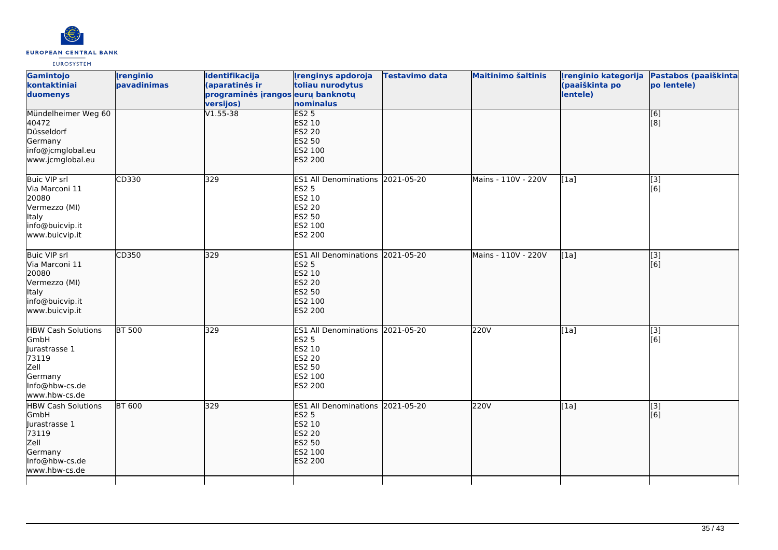

| Gamintojo<br>kontaktiniai<br>duomenys                                                                                    | <i><u><b><u>I</u>renginio</b></u></i><br>pavadinimas | Identifikacija<br>(aparatinės ir<br>programinės įrangos eurų banknotų<br>versijos) | <b>Irenginys apdoroja</b><br>toliau nurodytus<br>nominalus                                                         | <b>Testavimo data</b> | <b>Maitinimo šaltinis</b> | Irenginio kategorija<br>(paaiškinta po<br>lentele) | Pastabos (paaiškinta<br>po lentele) |
|--------------------------------------------------------------------------------------------------------------------------|------------------------------------------------------|------------------------------------------------------------------------------------|--------------------------------------------------------------------------------------------------------------------|-----------------------|---------------------------|----------------------------------------------------|-------------------------------------|
| Mündelheimer Weg 60<br>40472<br>Düsseldorf<br>Germany<br>info@jcmglobal.eu<br>www.jcmglobal.eu                           |                                                      | $V1.55 - 38$                                                                       | <b>ES2 5</b><br>ES2 10<br><b>ES2 20</b><br>ES2 50<br>ES2 100<br><b>ES2 200</b>                                     |                       |                           |                                                    | [6]<br>[8]                          |
| <b>Buic VIP srl</b><br>Via Marconi 11<br>20080<br>Vermezzo (MI)<br>Italy<br>info@buicvip.it<br>www.buicvip.it            | CD330                                                | 329                                                                                | ES1 All Denominations 2021-05-20<br><b>ES2 5</b><br>ES2 10<br><b>ES2 20</b><br><b>ES2 50</b><br>ES2 100<br>ES2 200 |                       | Mains - 110V - 220V       | [1a]                                               | $\overline{[3]}$<br>[6]             |
| Buic VIP srl<br>Via Marconi 11<br>20080<br>Vermezzo (MI)<br>Italy<br>info@buicvip.it<br>www.buicvip.it                   | CD350                                                | 329                                                                                | ES1 All Denominations 2021-05-20<br><b>ES2 5</b><br>ES2 10<br><b>ES2 20</b><br><b>ES2 50</b><br>ES2 100<br>ES2 200 |                       | Mains - 110V - 220V       | [1a]                                               | [3]<br>[6]                          |
| <b>HBW Cash Solutions</b><br>GmbH<br>Jurastrasse 1<br>73119<br>Zell<br>Germany<br>Info@hbw-cs.de<br>www.hbw-cs.de        | <b>BT 500</b>                                        | 329                                                                                | ES1 All Denominations 2021-05-20<br><b>ES2 5</b><br>ES2 10<br><b>ES2 20</b><br><b>ES2 50</b><br>ES2 100<br>ES2 200 |                       | 220V                      | [1a]                                               | $\overline{[3]}$<br>[6]             |
| <b>HBW Cash Solutions</b><br><b>GmbH</b><br>Jurastrasse 1<br>73119<br>Zell<br>Germany<br>Info@hbw-cs.de<br>www.hbw-cs.de | <b>BT 600</b>                                        | 329                                                                                | ES1 All Denominations 2021-05-20<br><b>ES2 5</b><br>ES2 10<br><b>ES2 20</b><br><b>ES2 50</b><br>ES2 100<br>ES2 200 |                       | 220V                      | [1a]                                               | [3]<br>[6]                          |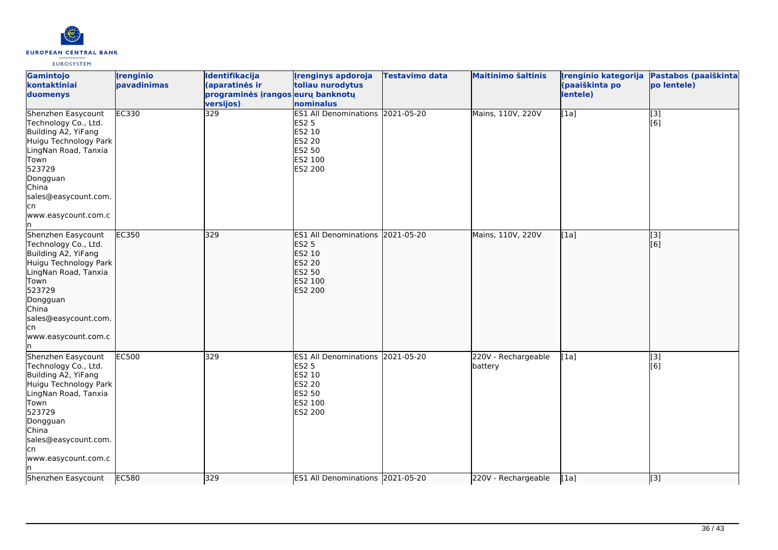

| Gamintojo<br>kontaktiniai<br>duomenys                                                                                                                                                                                  | <b>Irenginio</b><br>pavadinimas | Identifikacija<br>(aparatinės ir<br>programinės įrangos eurų banknotų<br>versijos) | <b>Irenginys apdoroja</b><br>toliau nurodytus<br>nominalus                                                                | <b>Testavimo data</b> | <b>Maitinimo šaltinis</b>      | Irenginio kategorija<br>(paaiškinta po<br>lentele) | Pastabos (paaiškinta<br>po lentele) |
|------------------------------------------------------------------------------------------------------------------------------------------------------------------------------------------------------------------------|---------------------------------|------------------------------------------------------------------------------------|---------------------------------------------------------------------------------------------------------------------------|-----------------------|--------------------------------|----------------------------------------------------|-------------------------------------|
| Shenzhen Easycount<br>Technology Co., Ltd.<br>Building A2, YiFang<br>Huigu Technology Park<br>LingNan Road, Tanxia<br>Town<br>523729<br>Dongguan<br>China<br>sales@easycount.com.<br>lcn<br>www.easycount.com.c<br>In. | EC330                           | 329                                                                                | ES1 All Denominations 2021-05-20<br><b>ES2 5</b><br>ES2 10<br><b>ES2 20</b><br>ES2 50<br>ES2 100<br>ES2 200               |                       | Mains, 110V, 220V              | [1a]                                               | $\overline{[3]}$<br>[6]             |
| Shenzhen Easycount<br>Technology Co., Ltd.<br>Building A2, YiFang<br>Huigu Technology Park<br>LingNan Road, Tanxia<br>Town<br>523729<br>Dongguan<br>China<br>sales@easycount.com.<br>lcn<br>www.easycount.com.c<br>In. | EC350                           | 329                                                                                | ES1 All Denominations 2021-05-20<br><b>ES2 5</b><br>ES2 10<br><b>ES2 20</b><br><b>ES2 50</b><br>ES2 100<br><b>ES2 200</b> |                       | Mains, 110V, 220V              | [1a]                                               | [3]<br>[6]                          |
| Shenzhen Easycount<br>Technology Co., Ltd.<br>Building A2, YiFang<br>Huigu Technology Park<br>LingNan Road, Tanxia<br>Town<br>523729<br>Dongguan<br>China<br>sales@easycount.com.<br>lcn<br>www.easycount.com.c<br>In  | <b>EC500</b>                    | 329                                                                                | ES1 All Denominations 2021-05-20<br><b>ES2 5</b><br>ES2 10<br><b>ES2 20</b><br>ES2 50<br>ES2 100<br>ES2 200               |                       | 220V - Rechargeable<br>battery | [1a]                                               | $\overline{[3]}$<br>[6]             |
| Shenzhen Easycount                                                                                                                                                                                                     | EC580                           | 329                                                                                | ES1 All Denominations 2021-05-20                                                                                          |                       | 220V - Rechargeable            | [1a]                                               | [3]                                 |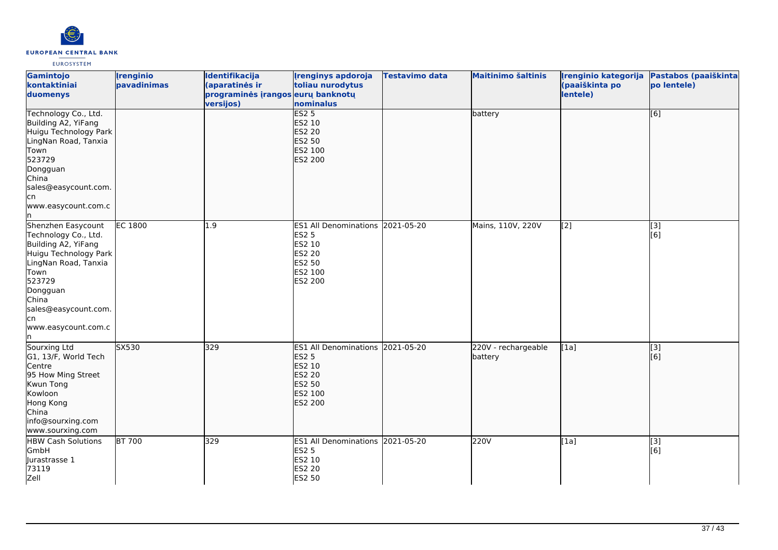

| Gamintojo<br>kontaktiniai<br>duomenys                                                                                                                                                                                 | <b>Irenginio</b><br>pavadinimas | Identifikacija<br>(aparatinės ir<br>programinės įrangos eurų banknotų<br>versijos) | <b>Irenginys apdoroja</b><br>toliau nurodytus<br>nominalus                                                  | <b>Testavimo data</b> | <b>Maitinimo šaltinis</b>      | Irenginio kategorija<br>(paaiškinta po<br>lentele) | Pastabos (paaiškinta<br>po lentele) |
|-----------------------------------------------------------------------------------------------------------------------------------------------------------------------------------------------------------------------|---------------------------------|------------------------------------------------------------------------------------|-------------------------------------------------------------------------------------------------------------|-----------------------|--------------------------------|----------------------------------------------------|-------------------------------------|
| Technology Co., Ltd.<br>Building A2, YiFang<br>Huigu Technology Park<br>LingNan Road, Tanxia<br>Town<br>523729<br>Dongguan<br>China<br>sales@easycount.com.<br>cn,<br>www.easycount.com.c<br>ln.                      |                                 |                                                                                    | ES2 <sub>5</sub><br>ES2 10<br><b>ES2 20</b><br><b>ES2 50</b><br>ES2 100<br>ES2 200                          |                       | battery                        |                                                    | [6]                                 |
| Shenzhen Easycount<br>Technology Co., Ltd.<br>Building A2, YiFang<br>Huigu Technology Park<br>LingNan Road, Tanxia<br>Town<br>523729<br>Dongguan<br>China<br>sales@easycount.com.<br>cn<br>www.easycount.com.c<br>ln. | <b>EC 1800</b>                  | 1.9                                                                                | ES1 All Denominations 2021-05-20<br>ES2 5<br>ES2 10<br><b>ES2 20</b><br>ES2 50<br>ES2 100<br>ES2 200        |                       | Mains, 110V, 220V              | [2]                                                | [3]<br>[6]                          |
| Sourxing Ltd<br>G1, 13/F, World Tech<br>Centre<br>95 How Ming Street<br>Kwun Tong<br>Kowloon<br>Hong Kong<br>China<br>info@sourxing.com<br>www.sourxing.com                                                           | SX530                           | 329                                                                                | ES1 All Denominations 2021-05-20<br><b>ES2 5</b><br>ES2 10<br><b>ES2 20</b><br>ES2 50<br>ES2 100<br>ES2 200 |                       | 220V - rechargeable<br>battery | [1a]                                               | $\overline{[3]}$<br>[6]             |
| <b>HBW Cash Solutions</b><br>GmbH<br>Jurastrasse 1<br>73119<br>Zell                                                                                                                                                   | <b>BT 700</b>                   | 329                                                                                | ES1 All Denominations 2021-05-20<br>ES2 5<br>ES2 10<br><b>ES2 20</b><br>ES2 50                              |                       | 220V                           | [1a]                                               | [3]<br>[6]                          |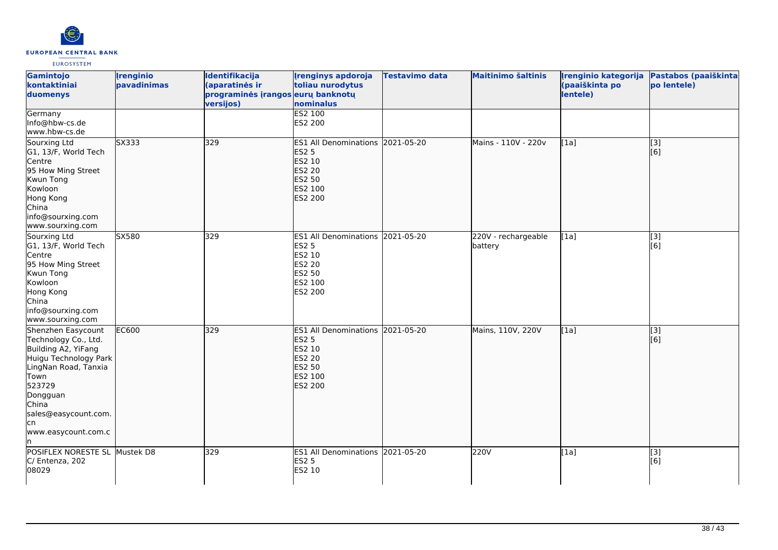

| <b>Gamintojo</b><br>kontaktiniai<br>duomenys                                                                                                                                                                           | <i><u><b><u>I</u>renginio</b></u></i><br>pavadinimas | <b>Identifikacija</b><br>(aparatinės ir<br>programinės įrangos eurų banknotų<br>versijos) | <b>Irenginys apdoroja</b><br>toliau nurodytus<br>nominalus                                                                | <b>Testavimo data</b> | <b>Maitinimo šaltinis</b>      | Irenginio kategorija<br>(paaiškinta po<br>lentele) | Pastabos (paaiškinta<br>po lentele) |
|------------------------------------------------------------------------------------------------------------------------------------------------------------------------------------------------------------------------|------------------------------------------------------|-------------------------------------------------------------------------------------------|---------------------------------------------------------------------------------------------------------------------------|-----------------------|--------------------------------|----------------------------------------------------|-------------------------------------|
| Germany<br>Info@hbw-cs.de<br>www.hbw-cs.de                                                                                                                                                                             |                                                      |                                                                                           | ES2 100<br>ES2 200                                                                                                        |                       |                                |                                                    |                                     |
| Sourxing Ltd<br>G1, 13/F, World Tech<br>Centre<br>95 How Ming Street<br>Kwun Tong<br>Kowloon<br>Hong Kong<br>China<br>info@sourxing.com<br>www.sourxing.com                                                            | SX333                                                | 329                                                                                       | ES1 All Denominations 2021-05-20<br><b>ES2 5</b><br>ES2 10<br><b>ES2 20</b><br><b>ES2 50</b><br>ES2 100<br><b>ES2 200</b> |                       | Mains - 110V - 220v            | [1a]                                               | $\overline{[}3]$<br>[6]             |
| Sourxing Ltd<br>G1, 13/F, World Tech<br>Centre<br>95 How Ming Street<br>Kwun Tong<br>Kowloon<br>Hong Kong<br>China<br>info@sourxing.com<br>www.sourxing.com                                                            | SX580                                                | 329                                                                                       | ES1 All Denominations 2021-05-20<br><b>ES2 5</b><br>ES2 10<br><b>ES2 20</b><br><b>ES2 50</b><br>ES2 100<br><b>ES2 200</b> |                       | 220V - rechargeable<br>battery | [1a]                                               | $\overline{[3]}$<br>[6]             |
| Shenzhen Easycount<br>Technology Co., Ltd.<br>Building A2, YiFang<br>Huigu Technology Park<br>LingNan Road, Tanxia<br>Town<br>523729<br>Dongguan<br>China<br>sales@easycount.com.<br>lcn<br>www.easycount.com.c<br>ln. | <b>EC600</b>                                         | 329                                                                                       | ES1 All Denominations 2021-05-20<br><b>ES2 5</b><br>ES2 10<br><b>ES2 20</b><br><b>ES2 50</b><br>ES2 100<br>ES2 200        |                       | Mains, 110V, 220V              | [1a]                                               | $\overline{[}3]$<br>[[6]            |
| POSIFLEX NORESTE SL Mustek D8<br>C/ Entenza, 202<br>08029                                                                                                                                                              |                                                      | 329                                                                                       | ES1 All Denominations 2021-05-20<br><b>ES2 5</b><br>ES2 10                                                                |                       | 220V                           | [1a]                                               | $\overline{[3]}$<br>[6]             |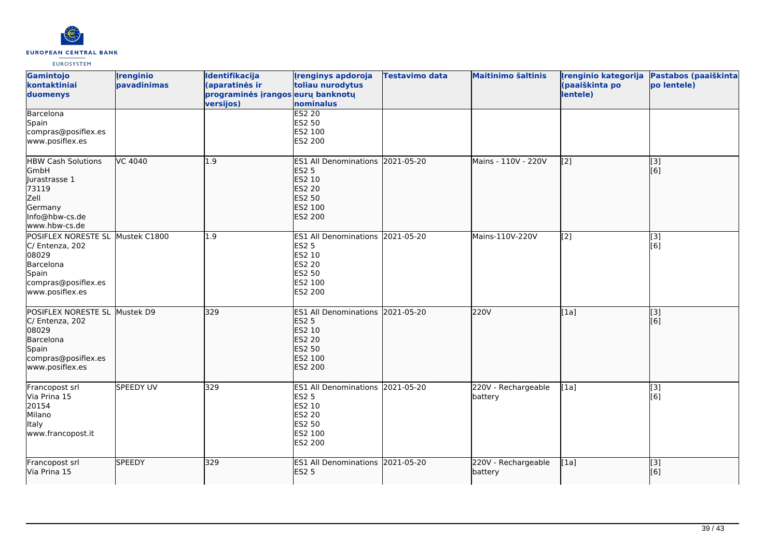

| Gamintojo<br>kontaktiniai<br>duomenys                                                                                        | <b>Irenginio</b><br>pavadinimas | Identifikacija<br>(aparatinės ir<br>programinės įrangos eurų banknotų<br>versijos) | <b>Irenginys apdoroja</b><br>toliau nurodytus<br>nominalus                                                                | <b>Testavimo data</b> | <b>Maitinimo šaltinis</b>      | Irenginio kategorija<br>(paaiškinta po<br>lentele) | Pastabos (paaiškinta<br>po lentele) |
|------------------------------------------------------------------------------------------------------------------------------|---------------------------------|------------------------------------------------------------------------------------|---------------------------------------------------------------------------------------------------------------------------|-----------------------|--------------------------------|----------------------------------------------------|-------------------------------------|
| Barcelona<br>Spain<br>compras@posiflex.es<br>www.posiflex.es                                                                 |                                 |                                                                                    | <b>ES2 20</b><br>ES2 50<br>ES2 100<br>ES2 200                                                                             |                       |                                |                                                    |                                     |
| <b>HBW Cash Solutions</b><br>GmbH<br>llurastrasse 1<br>73119<br>Zell<br>Germany<br>Info@hbw-cs.de<br>www.hbw-cs.de           | <b>VC 4040</b>                  | 1.9                                                                                | <b>ES1 All Denominations</b><br><b>ES2 5</b><br>ES2 10<br><b>ES2 20</b><br><b>ES2 50</b><br>ES2 100<br><b>ES2 200</b>     | 2021-05-20            | Mains - 110V - 220V            | $\left[2\right]$                                   | [3]<br>[6]                          |
| POSIFLEX NORESTE SL Mustek C1800<br>C/ Entenza, 202<br>08029<br>Barcelona<br>Spain<br>compras@posiflex.es<br>www.posiflex.es |                                 | 1.9                                                                                | <b>ES1 All Denominations</b><br>ES2 5<br>ES2 10<br>ES2 20<br>ES2 50<br>ES2 100<br>ES2 200                                 | 2021-05-20            | Mains-110V-220V                | [2]                                                | $\overline{[3]}$<br>[6]             |
| POSIFLEX NORESTE SL Mustek D9<br>C/ Entenza, 202<br>08029<br>Barcelona<br>Spain<br>compras@posiflex.es<br>www.posiflex.es    |                                 | 329                                                                                | ES1 All Denominations 2021-05-20<br><b>ES2 5</b><br>ES2 10<br><b>ES2 20</b><br><b>ES2 50</b><br>ES2 100<br><b>ES2 200</b> |                       | 220V                           | [1a]                                               | [3]<br>[6]                          |
| Francopost srl<br>Via Prina 15<br>20154<br>Milano<br><b>Italy</b><br>www.francopost.it                                       | <b>SPEEDY UV</b>                | 329                                                                                | ES1 All Denominations 2021-05-20<br><b>ES2 5</b><br>ES2 10<br><b>ES2 20</b><br><b>ES2 50</b><br>ES2 100<br>ES2 200        |                       | 220V - Rechargeable<br>battery | [1a]                                               | [3]<br>[6]                          |
| Francopost srl<br>Via Prina 15                                                                                               | <b>SPEEDY</b>                   | 329                                                                                | <b>ES1 All Denominations</b><br><b>ES2 5</b>                                                                              | 2021-05-20            | 220V - Rechargeable<br>battery | [1a]                                               | $\overline{[}3]$<br>[6]             |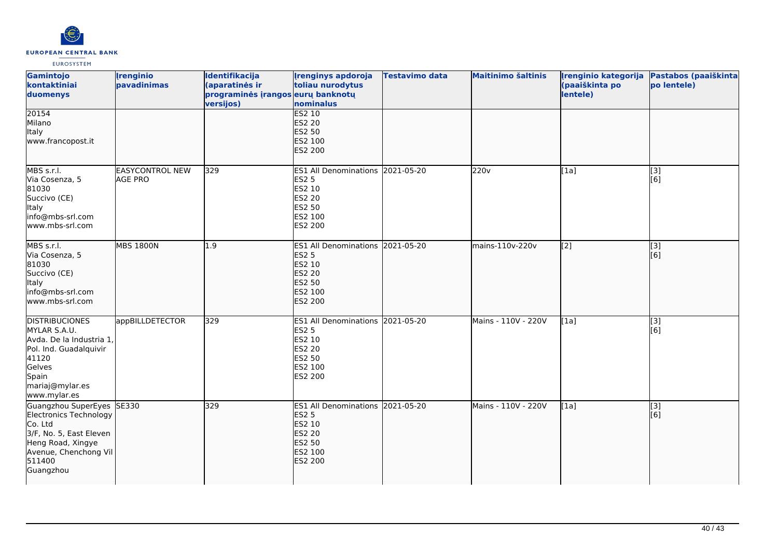

| Gamintojo<br>kontaktiniai<br>duomenys                                                                                                                      | <i><u><b><u>I</u>renginio</b></u></i><br>pavadinimas | Identifikacija<br>(aparatinės ir<br>programinės įrangos eurų banknotų<br>versijos) | <b>Irenginys apdoroja</b><br>toliau nurodytus<br>nominalus                                                         | Testavimo data | <b>Maitinimo šaltinis</b> | (paaiškinta po<br>lentele) | Irenginio kategorija Pastabos (paaiškinta<br>po lentele) |
|------------------------------------------------------------------------------------------------------------------------------------------------------------|------------------------------------------------------|------------------------------------------------------------------------------------|--------------------------------------------------------------------------------------------------------------------|----------------|---------------------------|----------------------------|----------------------------------------------------------|
| 20154<br>Milano<br>Italy<br>www.francopost.it                                                                                                              |                                                      |                                                                                    | <b>ES2 10</b><br><b>ES2 20</b><br><b>ES2 50</b><br>ES2 100<br>ES2 200                                              |                |                           |                            |                                                          |
| MBS s.r.l.<br>Via Cosenza, 5<br>81030<br>Succivo (CE)<br>Italy<br>info@mbs-srl.com<br>lwww.mbs-srl.com                                                     | <b>EASYCONTROL NEW</b><br>AGE PRO                    | 329                                                                                | ES1 All Denominations 2021-05-20<br><b>ES2 5</b><br>ES2 10<br>ES2 20<br>ES2 50<br>ES2 100<br>ES2 200               |                | 220v                      | [1a]                       | [3]<br>[6]                                               |
| MBS s.r.l.<br>Via Cosenza, 5<br>81030<br>Succivo (CE)<br>Italy<br>info@mbs-srl.com<br>www.mbs-srl.com                                                      | <b>MBS 1800N</b>                                     | 1.9                                                                                | ES1 All Denominations 2021-05-20<br><b>ES2 5</b><br>ES2 10<br><b>ES2 20</b><br><b>ES2 50</b><br>ES2 100<br>ES2 200 |                | mains-110v-220v           | $\left[2\right]$           | $\overline{[3]}$<br>[6]                                  |
| <b>DISTRIBUCIONES</b><br>MYLAR S.A.U.<br>Avda. De la Industria 1,<br>Pol. Ind. Guadalquivir<br>41120<br>Gelves<br>Spain<br>mariaj@mylar.es<br>www.mylar.es | appBILLDETECTOR                                      | 329                                                                                | ES1 All Denominations 2021-05-20<br><b>ES2 5</b><br>ES2 10<br>ES2 20<br>ES2 50<br>ES2 100<br>ES2 200               |                | Mains - 110V - 220V       | [1a]                       | [3]<br>[6]                                               |
| Guangzhou SuperEyes<br>Electronics Technology<br>Co. Ltd<br>3/F, No. 5, East Eleven<br>Heng Road, Xingye<br>Avenue, Chenchong Vil<br>511400<br>Guangzhou   | SE330                                                | 329                                                                                | ES1 All Denominations 2021-05-20<br><b>ES2 5</b><br>ES2 10<br><b>ES2 20</b><br>ES2 50<br>ES2 100<br>ES2 200        |                | Mains - 110V - 220V       | [1a]                       | [3]<br>[6]                                               |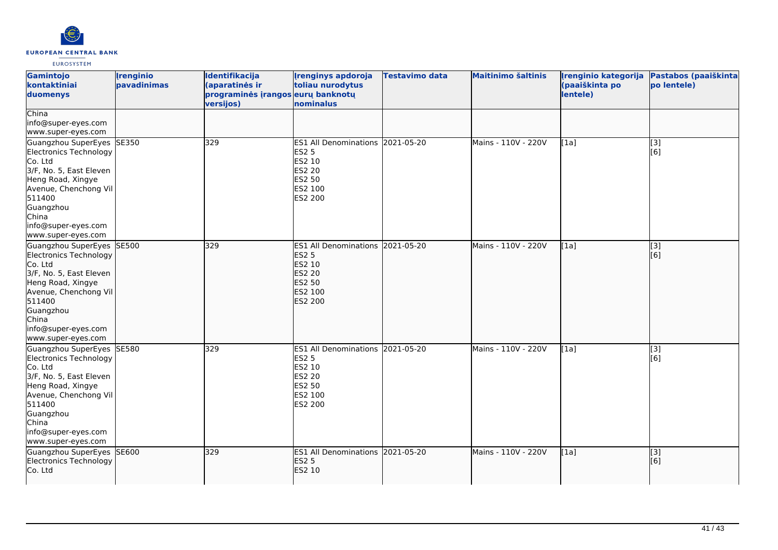

| Gamintojo<br>kontaktiniai<br>duomenys                                                                                                                                                                                | <b>Irenginio</b><br>pavadinimas | Identifikacija<br>(aparatinės ir<br>programinės įrangos eurų banknotų<br>versijos) | <b>Irenginys apdoroja</b><br>toliau nurodytus<br>nominalus                                                                       | <b>Testavimo data</b> | <b>Maitinimo šaltinis</b> | Irenginio kategorija<br>(paaiškinta po<br>lentele) | Pastabos (paaiškinta<br>po lentele) |
|----------------------------------------------------------------------------------------------------------------------------------------------------------------------------------------------------------------------|---------------------------------|------------------------------------------------------------------------------------|----------------------------------------------------------------------------------------------------------------------------------|-----------------------|---------------------------|----------------------------------------------------|-------------------------------------|
| China<br>info@super-eyes.com<br>www.super-eyes.com                                                                                                                                                                   |                                 |                                                                                    |                                                                                                                                  |                       |                           |                                                    |                                     |
| Guangzhou SuperEyes SE350<br>Electronics Technology<br>Co. Ltd<br>3/F, No. 5, East Eleven<br>Heng Road, Xingye<br>Avenue, Chenchong Vil<br>511400<br>Guangzhou<br>China<br>info@super-eyes.com<br>www.super-eyes.com |                                 | 329                                                                                | <b>ES1 All Denominations</b><br><b>ES2 5</b><br>ES2 10<br><b>ES2 20</b><br><b>ES2 50</b><br>ES2 100<br>ES2 200                   | 2021-05-20            | Mains - 110V - 220V       | [1a]                                               | $\overline{[3]}$<br>[6]             |
| Guangzhou SuperEyes SE500<br>Electronics Technology<br>Co. Ltd<br>3/F, No. 5, East Eleven<br>Heng Road, Xingye<br>Avenue, Chenchong Vil<br>511400<br>Guangzhou<br>China<br>info@super-eyes.com<br>www.super-eyes.com |                                 | 329                                                                                | ES1 All Denominations 2021-05-20<br><b>ES2 5</b><br>ES2 10<br><b>ES2 20</b><br><b>ES2 50</b><br><b>ES2 100</b><br><b>ES2 200</b> |                       | Mains - 110V - 220V       | [1a]                                               | [3]<br>[6]                          |
| Guangzhou SuperEyes SE580<br>Electronics Technology<br>Co. Ltd<br>3/F, No. 5, East Eleven<br>Heng Road, Xingye<br>Avenue, Chenchong Vil<br>511400<br>Guangzhou<br>China<br>info@super-eyes.com<br>www.super-eyes.com |                                 | 329                                                                                | <b>ES1 All Denominations</b><br><b>ES2 5</b><br>ES2 10<br><b>ES2 20</b><br><b>ES2 50</b><br>ES2 100<br>ES2 200                   | 2021-05-20            | Mains - 110V - 220V       | [1a]                                               | [3]<br>[6]                          |
| Guangzhou SuperEyes SE600<br>Electronics Technology<br>Co. Ltd                                                                                                                                                       |                                 | 329                                                                                | ES1 All Denominations 2021-05-20<br><b>ES2 5</b><br>ES2 10                                                                       |                       | Mains - 110V - 220V       | [1a]                                               | $\overline{[3]}$<br>[6]             |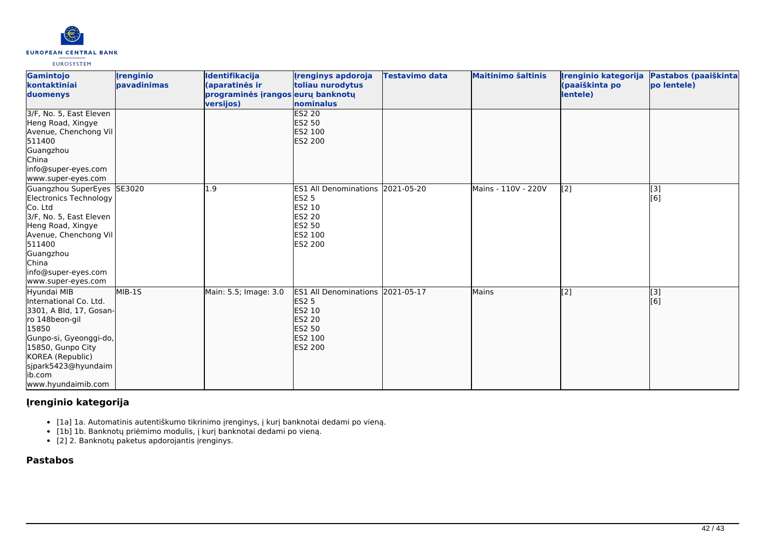

| Gamintojo<br>kontaktiniai<br>duomenys                                                                                                                                                                                  | <b>Irenginio</b><br><b>pavadinimas</b> | Identifikacija<br>(aparatinės ir<br>programinės įrangos eurų banknotų<br>versijos) | <b>Irenginys apdoroja</b><br>toliau nurodytus<br>nominalus                                                                       | Testavimo data | <b>Maitinimo šaltinis</b> | Irenginio kategorija<br>(paaiškinta po<br>lentele) | Pastabos (paaiškinta<br>po lentele) |
|------------------------------------------------------------------------------------------------------------------------------------------------------------------------------------------------------------------------|----------------------------------------|------------------------------------------------------------------------------------|----------------------------------------------------------------------------------------------------------------------------------|----------------|---------------------------|----------------------------------------------------|-------------------------------------|
| 3/F, No. 5, East Eleven<br>Heng Road, Xingye<br>Avenue, Chenchong Vil<br>511400<br>Guangzhou<br>China<br>info@super-eyes.com<br>www.super-eyes.com                                                                     |                                        |                                                                                    | <b>ES2 20</b><br><b>ES2 50</b><br><b>ES2 100</b><br>ES2 200                                                                      |                |                           |                                                    |                                     |
| Guangzhou SuperEyes<br>Electronics Technology<br>Co. Ltd<br>3/F, No. 5, East Eleven<br>Heng Road, Xingye<br>Avenue, Chenchong Vil<br>511400<br>Guangzhou<br>China<br>info@super-eyes.com<br>www.super-eyes.com         | SE3020                                 | L.9                                                                                | ES1 All Denominations 2021-05-20<br><b>ES2 5</b><br>ES2 10<br><b>ES2 20</b><br>ES2 50<br><b>IES2 100</b><br>ES2 200              |                | Mains - 110V - 220V       | [2]                                                | [3]<br>[6]                          |
| Hyundai MIB<br>International Co. Ltd.<br>3301, A Bld, 17, Gosan-<br>ro 148beon-gil<br>15850<br>Gunpo-si, Gyeonggi-do,<br>15850, Gunpo City<br>KOREA (Republic)<br>sjpark5423@hyundaim<br>lib.com<br>www.hyundaimib.com | $MIB-1S$                               | Main: 5.5; Image: 3.0                                                              | ES1 All Denominations 2021-05-17<br><b>ES2 5</b><br><b>ES2 10</b><br><b>ES2 20</b><br><b>ES2 50</b><br><b>ES2 100</b><br>ES2 200 |                | Mains                     | $\overline{[2]}$                                   | [3]<br>[6]                          |

# **Įrenginio kategorija**

- [1a] 1a. Automatinis autentiškumo tikrinimo įrenginys, į kurį banknotai dedami po vieną.
	- [1b] 1b. Banknotų priėmimo modulis, į kurį banknotai dedami po vieną.
- [2] 2. Banknotų paketus apdorojantis įrenginys.

# **Pastabos**